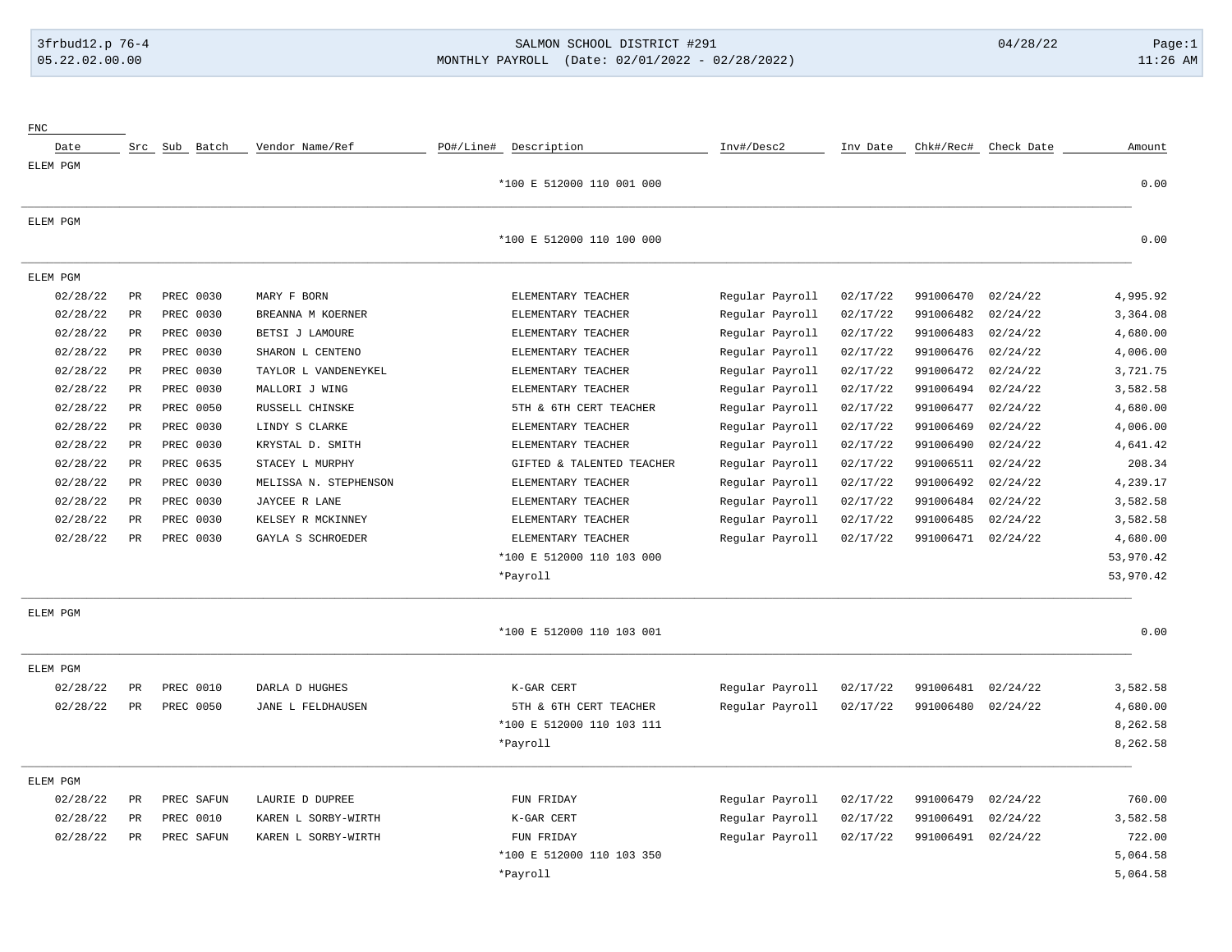# 3frbud12.p 76-4 SALMON SCHOOL DISTRICT #291 04/28/22 Page:1 05.22.02.00.00 MONTHLY PAYROLL (Date: 02/01/2022 - 02/28/2022) 11:26 AM

| Amount    | Check Date | Chk#/Rec# | Inv Date | Inv#/Desc2      | PO#/Line# Description     | Vendor Name/Ref       |            | Src Sub Batch                | Date     |
|-----------|------------|-----------|----------|-----------------|---------------------------|-----------------------|------------|------------------------------|----------|
|           |            |           |          |                 |                           |                       |            |                              | ELEM PGM |
| 0.00      |            |           |          |                 | *100 E 512000 110 001 000 |                       |            |                              |          |
|           |            |           |          |                 |                           |                       |            |                              | ELEM PGM |
| 0.00      |            |           |          |                 | *100 E 512000 110 100 000 |                       |            |                              |          |
|           |            |           |          |                 |                           |                       |            |                              | ELEM PGM |
| 4,995.92  | 02/24/22   | 991006470 | 02/17/22 | Regular Payroll | ELEMENTARY TEACHER        | MARY F BORN           |            | $_{\rm PR}$<br>PREC 0030     | 02/28/22 |
| 3,364.08  | 02/24/22   | 991006482 | 02/17/22 | Regular Payroll | ELEMENTARY TEACHER        | BREANNA M KOERNER     |            | PREC 0030<br>PR              | 02/28/22 |
| 4,680.00  | 02/24/22   | 991006483 | 02/17/22 | Regular Payroll | ELEMENTARY TEACHER        | BETSI J LAMOURE       |            | $_{\rm PR}$<br>PREC 0030     | 02/28/22 |
| 4,006.00  | 02/24/22   | 991006476 | 02/17/22 | Regular Payroll | ELEMENTARY TEACHER        | SHARON L CENTENO      |            | PR<br>PREC 0030              | 02/28/22 |
| 3,721.75  | 02/24/22   | 991006472 | 02/17/22 | Regular Payroll | ELEMENTARY TEACHER        | TAYLOR L VANDENEYKEL  |            | $\mbox{\sf PR}$<br>PREC 0030 | 02/28/22 |
| 3,582.58  | 02/24/22   | 991006494 | 02/17/22 | Regular Payroll | ELEMENTARY TEACHER        | MALLORI J WING        |            | PR<br>PREC 0030              | 02/28/22 |
| 4,680.00  | 02/24/22   | 991006477 | 02/17/22 | Regular Payroll | 5TH & 6TH CERT TEACHER    | RUSSELL CHINSKE       |            | $\mathtt{PR}$<br>PREC 0050   | 02/28/22 |
| 4,006.00  | 02/24/22   | 991006469 | 02/17/22 | Regular Payroll | ELEMENTARY TEACHER        | LINDY S CLARKE        |            | $\mathtt{PR}$<br>PREC 0030   | 02/28/22 |
| 4,641.42  | 02/24/22   | 991006490 | 02/17/22 | Regular Payroll | ELEMENTARY TEACHER        | KRYSTAL D. SMITH      |            | PREC 0030<br>$\mbox{\sf PR}$ | 02/28/22 |
| 208.34    | 02/24/22   | 991006511 | 02/17/22 | Regular Payroll | GIFTED & TALENTED TEACHER | STACEY L MURPHY       |            | PREC 0635<br>$_{\rm PR}$     | 02/28/22 |
| 4,239.17  | 02/24/22   | 991006492 | 02/17/22 | Regular Payroll | ELEMENTARY TEACHER        | MELISSA N. STEPHENSON |            | PREC 0030<br>$\mbox{\sf PR}$ | 02/28/22 |
| 3,582.58  | 02/24/22   | 991006484 | 02/17/22 | Regular Payroll | ELEMENTARY TEACHER        | JAYCEE R LANE         |            | PREC 0030<br>$\mbox{\sf PR}$ | 02/28/22 |
| 3,582.58  | 02/24/22   | 991006485 | 02/17/22 | Regular Payroll | ELEMENTARY TEACHER        | KELSEY R MCKINNEY     |            | $\mbox{\sf PR}$<br>PREC 0030 | 02/28/22 |
| 4,680.00  | 02/24/22   | 991006471 | 02/17/22 | Regular Payroll | ELEMENTARY TEACHER        | GAYLA S SCHROEDER     |            | <b>PR</b><br>PREC 0030       | 02/28/22 |
| 53,970.42 |            |           |          |                 | *100 E 512000 110 103 000 |                       |            |                              |          |
| 53,970.42 |            |           |          |                 | *Payroll                  |                       |            |                              |          |
|           |            |           |          |                 |                           |                       |            |                              | ELEM PGM |
| 0.00      |            |           |          |                 | *100 E 512000 110 103 001 |                       |            |                              |          |
|           |            |           |          |                 |                           |                       |            |                              | ELEM PGM |
| 3,582.58  | 02/24/22   | 991006481 | 02/17/22 | Regular Payroll | K-GAR CERT                | DARLA D HUGHES        |            | PREC 0010<br>PR              | 02/28/22 |
| 4,680.00  | 02/24/22   | 991006480 | 02/17/22 | Regular Payroll | 5TH & 6TH CERT TEACHER    | JANE L FELDHAUSEN     |            | $_{\rm PR}$<br>PREC 0050     | 02/28/22 |
| 8,262.58  |            |           |          |                 | *100 E 512000 110 103 111 |                       |            |                              |          |
| 8,262.58  |            |           |          |                 | *Payroll                  |                       |            |                              |          |
|           |            |           |          |                 |                           |                       |            |                              | ELEM PGM |
| 760.00    | 02/24/22   | 991006479 | 02/17/22 | Regular Payroll | FUN FRIDAY                | LAURIE D DUPREE       | PREC SAFUN | PR                           | 02/28/22 |
| 3,582.58  | 02/24/22   | 991006491 | 02/17/22 | Regular Payroll | K-GAR CERT                | KAREN L SORBY-WIRTH   |            | PR<br>PREC 0010              | 02/28/22 |
| 722.00    | 02/24/22   | 991006491 | 02/17/22 | Regular Payroll | FUN FRIDAY                | KAREN L SORBY-WIRTH   | PREC SAFUN | $_{\rm PR}$                  | 02/28/22 |
| 5,064.58  |            |           |          |                 | *100 E 512000 110 103 350 |                       |            |                              |          |
| 5,064.58  |            |           |          |                 | *Payroll                  |                       |            |                              |          |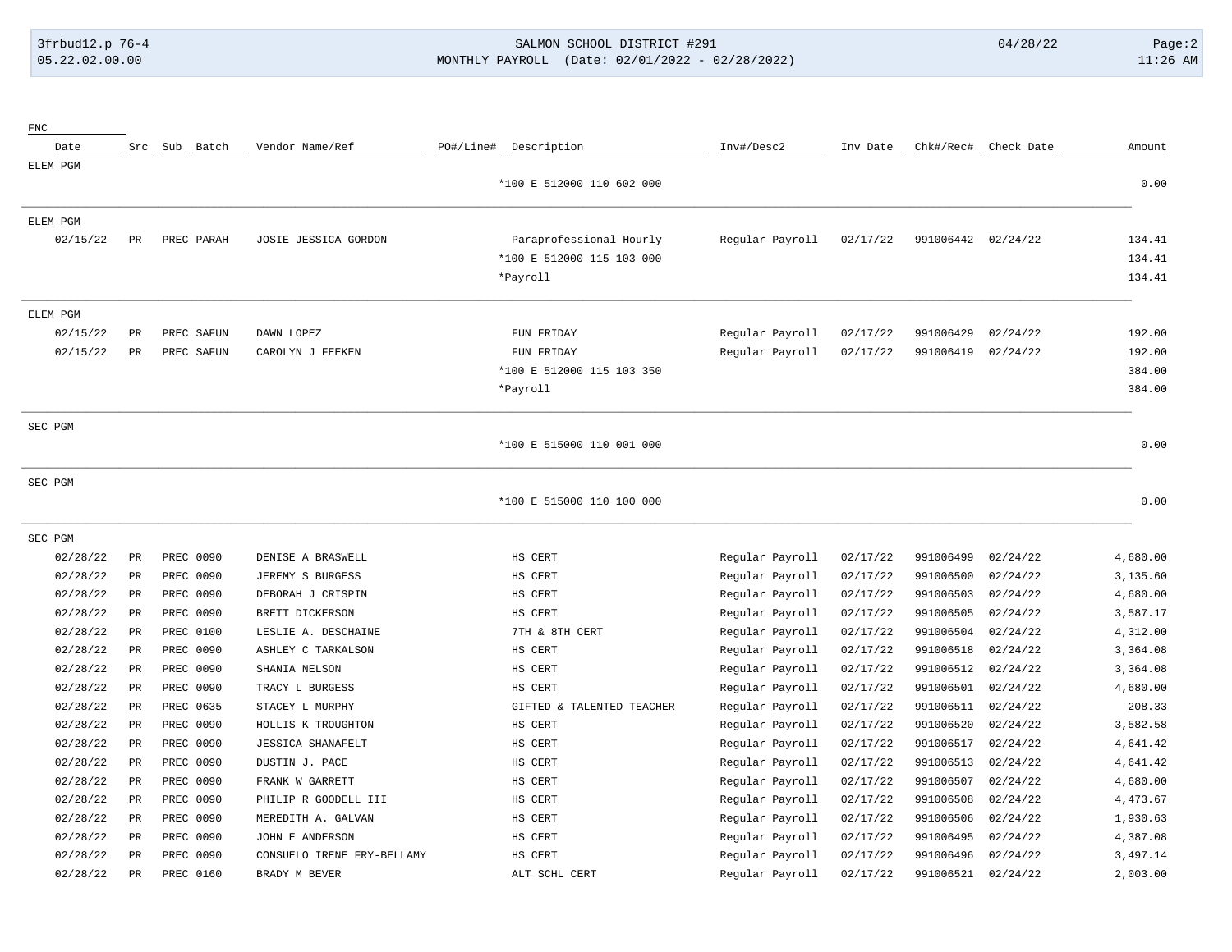FNC

## 3frbud12.p 76-4 SALMON SCHOOL DISTRICT #291 04/28/22 Page:2 05.22.02.00.00 MONTHLY PAYROLL (Date: 02/01/2022 - 02/28/2022) 11:26 AM

| Date     |             | Src Sub Batch | Vendor Name/Ref            | PO#/Line# | Description               | Inv#/Desc2      | Inv Date | Chk#/Rec# | Check Date | Amount   |
|----------|-------------|---------------|----------------------------|-----------|---------------------------|-----------------|----------|-----------|------------|----------|
| ELEM PGM |             |               |                            |           |                           |                 |          |           |            |          |
|          |             |               |                            |           | *100 E 512000 110 602 000 |                 |          |           |            | 0.00     |
| ELEM PGM |             |               |                            |           |                           |                 |          |           |            |          |
| 02/15/22 | PR          | PREC PARAH    | JOSIE JESSICA GORDON       |           | Paraprofessional Hourly   | Regular Payroll | 02/17/22 | 991006442 | 02/24/22   | 134.41   |
|          |             |               |                            |           | *100 E 512000 115 103 000 |                 |          |           |            | 134.41   |
|          |             |               |                            |           | *Payroll                  |                 |          |           |            | 134.41   |
| ELEM PGM |             |               |                            |           |                           |                 |          |           |            |          |
| 02/15/22 | PR          | PREC SAFUN    | DAWN LOPEZ                 |           | FUN FRIDAY                | Regular Payroll | 02/17/22 | 991006429 | 02/24/22   | 192.00   |
| 02/15/22 | PR          | PREC SAFUN    | CAROLYN J FEEKEN           |           | FUN FRIDAY                | Regular Payroll | 02/17/22 | 991006419 | 02/24/22   | 192.00   |
|          |             |               |                            |           | *100 E 512000 115 103 350 |                 |          |           |            | 384.00   |
|          |             |               |                            |           | *Payroll                  |                 |          |           |            | 384.00   |
| SEC PGM  |             |               |                            |           |                           |                 |          |           |            |          |
|          |             |               |                            |           | *100 E 515000 110 001 000 |                 |          |           |            | 0.00     |
| SEC PGM  |             |               |                            |           |                           |                 |          |           |            |          |
|          |             |               |                            |           | *100 E 515000 110 100 000 |                 |          |           |            | 0.00     |
| SEC PGM  |             |               |                            |           |                           |                 |          |           |            |          |
| 02/28/22 | $_{\rm PR}$ | PREC 0090     | DENISE A BRASWELL          |           | HS CERT                   | Regular Payroll | 02/17/22 | 991006499 | 02/24/22   | 4,680.00 |
| 02/28/22 | PR          | PREC 0090     | JEREMY S BURGESS           |           | HS CERT                   | Regular Payroll | 02/17/22 | 991006500 | 02/24/22   | 3,135.60 |
| 02/28/22 | PR          | PREC 0090     | DEBORAH J CRISPIN          |           | HS CERT                   | Regular Payroll | 02/17/22 | 991006503 | 02/24/22   | 4,680.00 |
| 02/28/22 | PR          | PREC 0090     | BRETT DICKERSON            |           | HS CERT                   | Regular Payroll | 02/17/22 | 991006505 | 02/24/22   | 3,587.17 |
| 02/28/22 | PR          | PREC 0100     | LESLIE A. DESCHAINE        |           | 7TH & 8TH CERT            | Regular Payroll | 02/17/22 | 991006504 | 02/24/22   | 4,312.00 |
| 02/28/22 | <b>PR</b>   | PREC 0090     | ASHLEY C TARKALSON         |           | HS CERT                   | Regular Payroll | 02/17/22 | 991006518 | 02/24/22   | 3,364.08 |
| 02/28/22 | PR          | PREC 0090     | SHANIA NELSON              |           | HS CERT                   | Regular Payroll | 02/17/22 | 991006512 | 02/24/22   | 3,364.08 |
| 02/28/22 | <b>PR</b>   | PREC 0090     | TRACY L BURGESS            |           | HS CERT                   | Regular Payroll | 02/17/22 | 991006501 | 02/24/22   | 4,680.00 |
| 02/28/22 | PR          | PREC 0635     | STACEY L MURPHY            |           | GIFTED & TALENTED TEACHER | Regular Payroll | 02/17/22 | 991006511 | 02/24/22   | 208.33   |
| 02/28/22 | <b>PR</b>   | PREC 0090     | HOLLIS K TROUGHTON         |           | HS CERT                   | Regular Payroll | 02/17/22 | 991006520 | 02/24/22   | 3,582.58 |
| 02/28/22 | $_{\rm PR}$ | PREC 0090     | <b>JESSICA SHANAFELT</b>   |           | HS CERT                   | Regular Payroll | 02/17/22 | 991006517 | 02/24/22   | 4,641.42 |
| 02/28/22 | PR          | PREC 0090     | DUSTIN J. PACE             |           | HS CERT                   | Regular Payroll | 02/17/22 | 991006513 | 02/24/22   | 4,641.42 |
| 02/28/22 | PR          | PREC 0090     | FRANK W GARRETT            |           | HS CERT                   | Regular Payroll | 02/17/22 | 991006507 | 02/24/22   | 4,680.00 |
| 02/28/22 | PR          | PREC 0090     | PHILIP R GOODELL III       |           | HS CERT                   | Regular Payroll | 02/17/22 | 991006508 | 02/24/22   | 4,473.67 |
| 02/28/22 | PR          | PREC 0090     | MEREDITH A. GALVAN         |           | HS CERT                   | Regular Payroll | 02/17/22 | 991006506 | 02/24/22   | 1,930.63 |
| 02/28/22 | PR          | PREC 0090     | JOHN E ANDERSON            |           | HS CERT                   | Regular Payroll | 02/17/22 | 991006495 | 02/24/22   | 4,387.08 |
| 02/28/22 | PR          | PREC 0090     | CONSUELO IRENE FRY-BELLAMY |           | HS CERT                   | Regular Payroll | 02/17/22 | 991006496 | 02/24/22   | 3,497.14 |
| 02/28/22 | PR          | PREC 0160     | BRADY M BEVER              |           | ALT SCHL CERT             | Regular Payroll | 02/17/22 | 991006521 | 02/24/22   | 2,003.00 |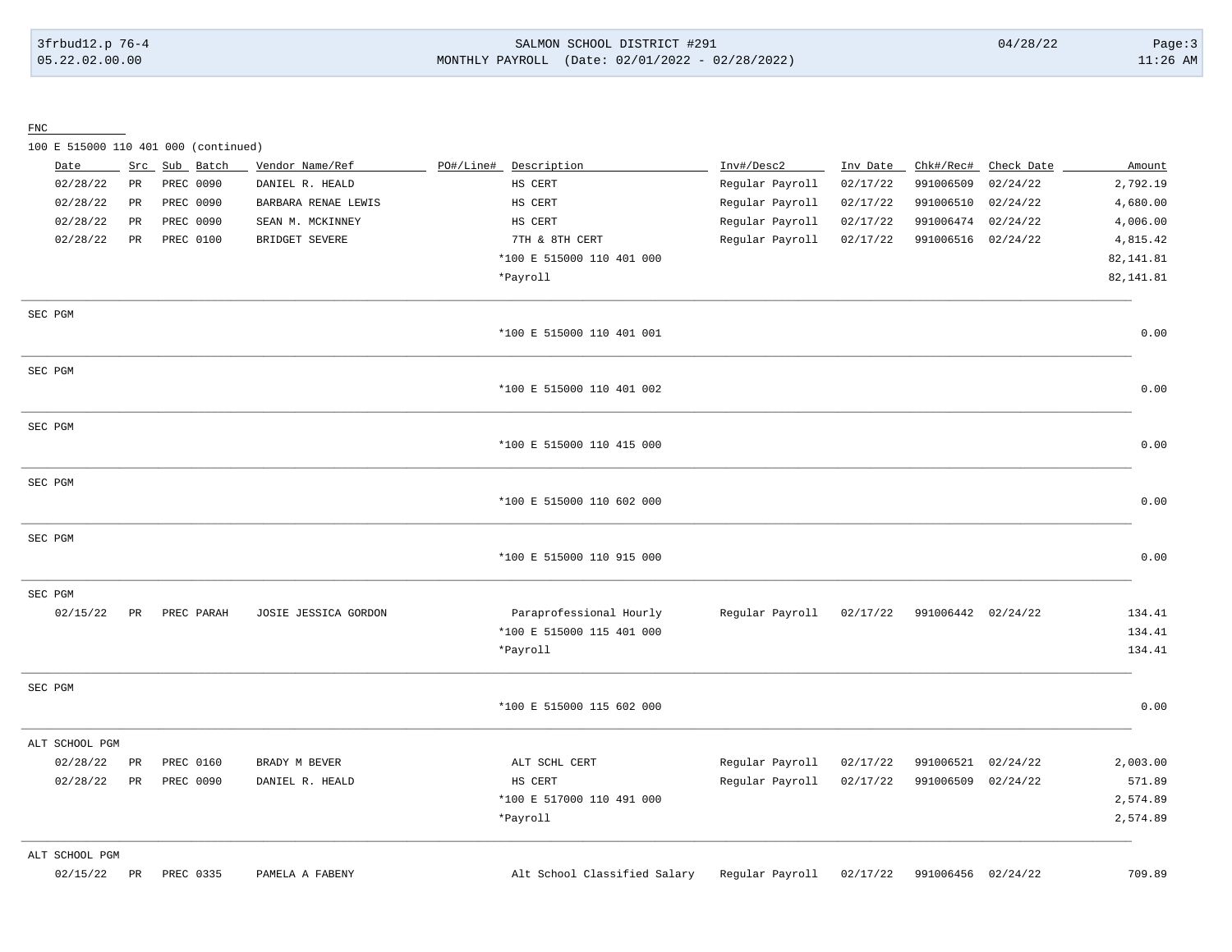## 3frbud12.p 76-4 SALMON SCHOOL DISTRICT #291 04/28/22 Page:3 05.22.02.00.00 MONTHLY PAYROLL (Date: 02/01/2022 - 02/28/2022) 11:26 AM

FNC

100 E 515000 110 401 000 (continued)

| Date           | Src             | Sub Batch  | Vendor Name/Ref      | PO#/Line# | Description               | Inv#/Desc2      | Inv Date | Chk#/Rec#          | Check Date | Amount     |
|----------------|-----------------|------------|----------------------|-----------|---------------------------|-----------------|----------|--------------------|------------|------------|
| 02/28/22       | $\mathtt{PR}$   | PREC 0090  | DANIEL R. HEALD      |           | HS CERT                   | Regular Payroll | 02/17/22 | 991006509          | 02/24/22   | 2,792.19   |
| 02/28/22       | PR              | PREC 0090  | BARBARA RENAE LEWIS  |           | HS CERT                   | Regular Payroll | 02/17/22 | 991006510          | 02/24/22   | 4,680.00   |
| 02/28/22       | PR              | PREC 0090  | SEAN M. MCKINNEY     |           | HS CERT                   | Regular Payroll | 02/17/22 | 991006474          | 02/24/22   | 4,006.00   |
| 02/28/22       | PR              | PREC 0100  | BRIDGET SEVERE       |           | 7TH & 8TH CERT            | Regular Payroll | 02/17/22 | 991006516 02/24/22 |            | 4,815.42   |
|                |                 |            |                      |           | *100 E 515000 110 401 000 |                 |          |                    |            | 82, 141.81 |
|                |                 |            |                      |           | *Payroll                  |                 |          |                    |            | 82, 141.81 |
| SEC PGM        |                 |            |                      |           |                           |                 |          |                    |            |            |
|                |                 |            |                      |           | *100 E 515000 110 401 001 |                 |          |                    |            | 0.00       |
| SEC PGM        |                 |            |                      |           |                           |                 |          |                    |            |            |
|                |                 |            |                      |           | *100 E 515000 110 401 002 |                 |          |                    |            | 0.00       |
| SEC PGM        |                 |            |                      |           |                           |                 |          |                    |            |            |
|                |                 |            |                      |           | *100 E 515000 110 415 000 |                 |          |                    |            | 0.00       |
| SEC PGM        |                 |            |                      |           |                           |                 |          |                    |            |            |
|                |                 |            |                      |           | *100 E 515000 110 602 000 |                 |          |                    |            | 0.00       |
| SEC PGM        |                 |            |                      |           |                           |                 |          |                    |            |            |
|                |                 |            |                      |           | *100 E 515000 110 915 000 |                 |          |                    |            | 0.00       |
| SEC PGM        |                 |            |                      |           |                           |                 |          |                    |            |            |
| 02/15/22       | PR              | PREC PARAH | JOSIE JESSICA GORDON |           | Paraprofessional Hourly   | Regular Payroll | 02/17/22 | 991006442 02/24/22 |            | 134.41     |
|                |                 |            |                      |           | *100 E 515000 115 401 000 |                 |          |                    |            | 134.41     |
|                |                 |            |                      |           | *Payroll                  |                 |          |                    |            | 134.41     |
| SEC PGM        |                 |            |                      |           |                           |                 |          |                    |            |            |
|                |                 |            |                      |           | *100 E 515000 115 602 000 |                 |          |                    |            | 0.00       |
| ALT SCHOOL PGM |                 |            |                      |           |                           |                 |          |                    |            |            |
| 02/28/22       | $\mbox{\sf PR}$ | PREC 0160  | BRADY M BEVER        |           | ALT SCHL CERT             | Regular Payroll | 02/17/22 | 991006521          | 02/24/22   | 2,003.00   |
| 02/28/22       | $_{\rm PR}$     | PREC 0090  | DANIEL R. HEALD      |           | HS CERT                   | Regular Payroll | 02/17/22 | 991006509 02/24/22 |            | 571.89     |
|                |                 |            |                      |           | *100 E 517000 110 491 000 |                 |          |                    |            | 2,574.89   |
|                |                 |            |                      |           | *Payroll                  |                 |          |                    |            | 2,574.89   |
| ALT SCHOOL PGM |                 |            |                      |           |                           |                 |          |                    |            |            |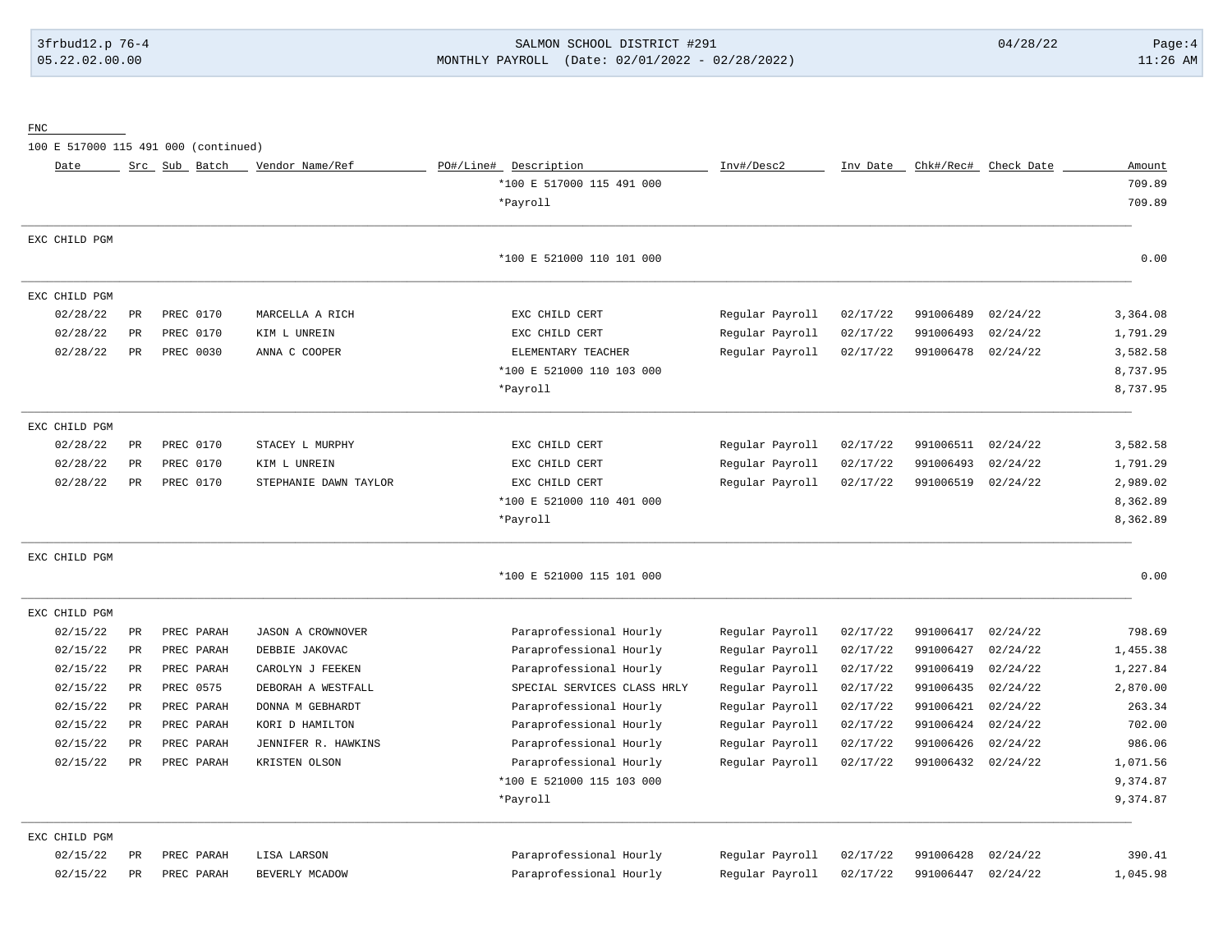# 3frbud12.p 76-4 SALMON SCHOOL DISTRICT #291 04/28/22 Page:4 05.22.02.00.00 MONTHLY PAYROLL (Date: 02/01/2022 - 02/28/2022) 11:26 AM

FNC

100 E 517000 115 491 000 (continued)

| Date          |             | Src Sub Batch | Vendor Name/Ref       | PO#/Line# Description       | Inv#/Desc2      | Inv Date | Chk#/Rec# | Check Date | Amount   |
|---------------|-------------|---------------|-----------------------|-----------------------------|-----------------|----------|-----------|------------|----------|
|               |             |               |                       | *100 E 517000 115 491 000   |                 |          |           |            | 709.89   |
|               |             |               |                       | *Payroll                    |                 |          |           |            | 709.89   |
| EXC CHILD PGM |             |               |                       |                             |                 |          |           |            |          |
|               |             |               |                       | *100 E 521000 110 101 000   |                 |          |           |            | 0.00     |
| EXC CHILD PGM |             |               |                       |                             |                 |          |           |            |          |
| 02/28/22      | PR          | PREC 0170     | MARCELLA A RICH       | EXC CHILD CERT              | Regular Payroll | 02/17/22 | 991006489 | 02/24/22   | 3,364.08 |
| 02/28/22      | PR          | PREC 0170     | KIM L UNREIN          | EXC CHILD CERT              | Regular Payroll | 02/17/22 | 991006493 | 02/24/22   | 1,791.29 |
| 02/28/22      | PR          | PREC 0030     | ANNA C COOPER         | ELEMENTARY TEACHER          | Regular Payroll | 02/17/22 | 991006478 | 02/24/22   | 3,582.58 |
|               |             |               |                       | *100 E 521000 110 103 000   |                 |          |           |            | 8,737.95 |
|               |             |               |                       | *Payroll                    |                 |          |           |            | 8,737.95 |
| EXC CHILD PGM |             |               |                       |                             |                 |          |           |            |          |
| 02/28/22      | PR          | PREC 0170     | STACEY L MURPHY       | EXC CHILD CERT              | Regular Payroll | 02/17/22 | 991006511 | 02/24/22   | 3,582.58 |
| 02/28/22      | PR          | PREC 0170     | KIM L UNREIN          | EXC CHILD CERT              | Regular Payroll | 02/17/22 | 991006493 | 02/24/22   | 1,791.29 |
| 02/28/22      | $_{\rm PR}$ | PREC 0170     | STEPHANIE DAWN TAYLOR | EXC CHILD CERT              | Regular Payroll | 02/17/22 | 991006519 | 02/24/22   | 2,989.02 |
|               |             |               |                       | *100 E 521000 110 401 000   |                 |          |           |            | 8,362.89 |
|               |             |               |                       | *Payroll                    |                 |          |           |            | 8,362.89 |
| EXC CHILD PGM |             |               |                       |                             |                 |          |           |            |          |
|               |             |               |                       | *100 E 521000 115 101 000   |                 |          |           |            | 0.00     |
| EXC CHILD PGM |             |               |                       |                             |                 |          |           |            |          |
| 02/15/22      | PR          | PREC PARAH    | JASON A CROWNOVER     | Paraprofessional Hourly     | Regular Payroll | 02/17/22 | 991006417 | 02/24/22   | 798.69   |
| 02/15/22      | PR          | PREC PARAH    | DEBBIE JAKOVAC        | Paraprofessional Hourly     | Regular Payroll | 02/17/22 | 991006427 | 02/24/22   | 1,455.38 |
| 02/15/22      | PR          | PREC PARAH    | CAROLYN J FEEKEN      | Paraprofessional Hourly     | Regular Payroll | 02/17/22 | 991006419 | 02/24/22   | 1,227.84 |
| 02/15/22      | PR          | PREC 0575     | DEBORAH A WESTFALL    | SPECIAL SERVICES CLASS HRLY | Regular Payroll | 02/17/22 | 991006435 | 02/24/22   | 2,870.00 |
| 02/15/22      | PR          | PREC PARAH    | DONNA M GEBHARDT      | Paraprofessional Hourly     | Regular Payroll | 02/17/22 | 991006421 | 02/24/22   | 263.34   |
| 02/15/22      | PR          | PREC PARAH    | KORI D HAMILTON       | Paraprofessional Hourly     | Regular Payroll | 02/17/22 | 991006424 | 02/24/22   | 702.00   |
| 02/15/22      | PR          | PREC PARAH    | JENNIFER R. HAWKINS   | Paraprofessional Hourly     | Regular Payroll | 02/17/22 | 991006426 | 02/24/22   | 986.06   |
| 02/15/22      | PR          | PREC PARAH    | KRISTEN OLSON         | Paraprofessional Hourly     | Regular Payroll | 02/17/22 | 991006432 | 02/24/22   | 1,071.56 |
|               |             |               |                       | *100 E 521000 115 103 000   |                 |          |           |            | 9,374.87 |
|               |             |               |                       | *Payroll                    |                 |          |           |            | 9,374.87 |
| EXC CHILD PGM |             |               |                       |                             |                 |          |           |            |          |
| 02/15/22      | PR          | PREC PARAH    | LISA LARSON           | Paraprofessional Hourly     | Regular Payroll | 02/17/22 | 991006428 | 02/24/22   | 390.41   |
| 02/15/22      | $_{\rm PR}$ | PREC PARAH    | BEVERLY MCADOW        | Paraprofessional Hourly     | Regular Payroll | 02/17/22 | 991006447 | 02/24/22   | 1,045.98 |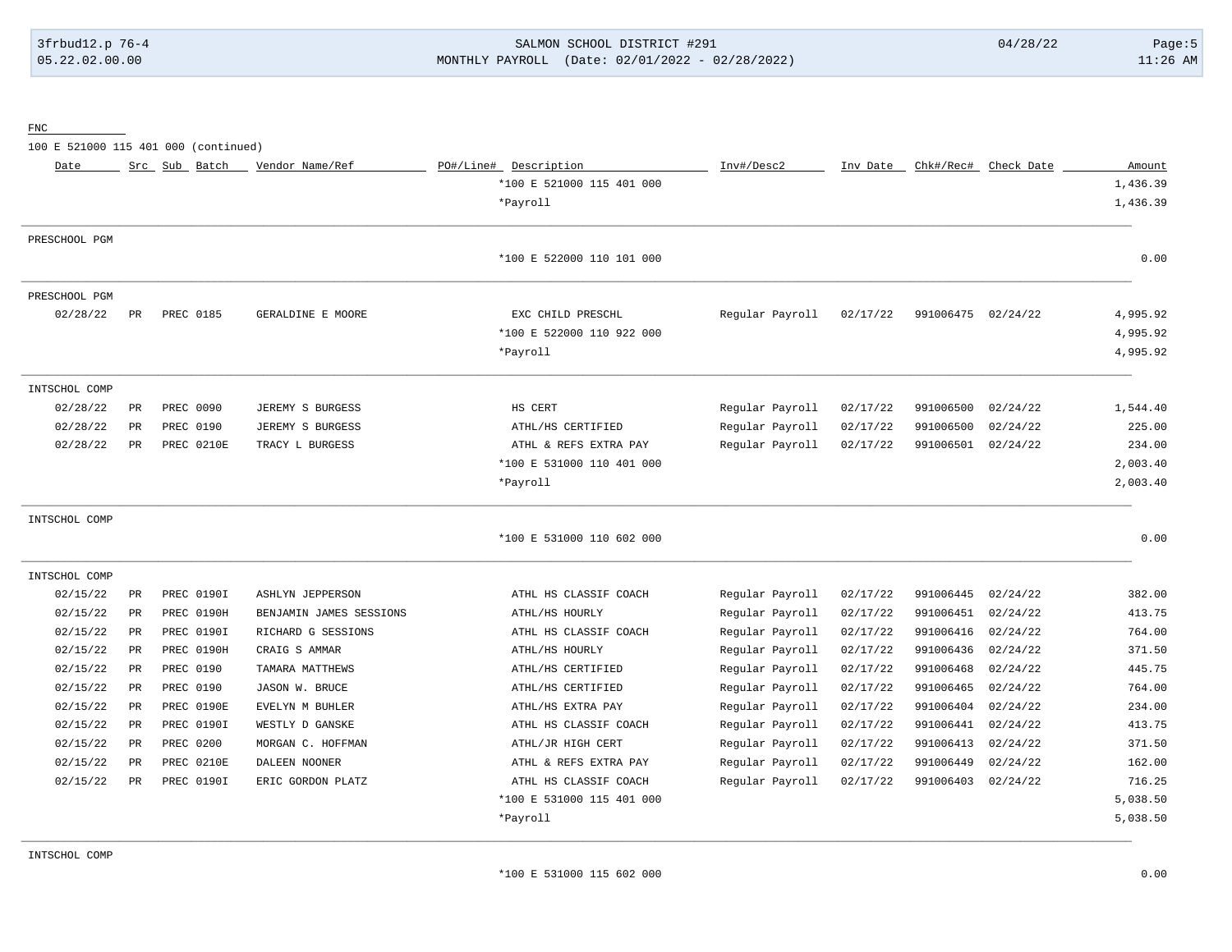# 3frbud12.p 76-4 SALMON SCHOOL DISTRICT #291 04/28/22 Page:5 05.22.02.00.00 MONTHLY PAYROLL (Date: 02/01/2022 - 02/28/2022) 11:26 AM

FNC

100 E 521000 115 401 000 (continued)

| Date          |           | Src Sub Batch    | Vendor Name/Ref         | PO#/Line#<br>Description  | Inv#/Desc2      | Inv Date | Chk#/Rec#          | Check Date | Amount   |
|---------------|-----------|------------------|-------------------------|---------------------------|-----------------|----------|--------------------|------------|----------|
|               |           |                  |                         | *100 E 521000 115 401 000 |                 |          |                    |            | 1,436.39 |
|               |           |                  |                         | *Payroll                  |                 |          |                    |            | 1,436.39 |
| PRESCHOOL PGM |           |                  |                         |                           |                 |          |                    |            |          |
|               |           |                  |                         | *100 E 522000 110 101 000 |                 |          |                    |            | 0.00     |
| PRESCHOOL PGM |           |                  |                         |                           |                 |          |                    |            |          |
| 02/28/22      | PR        | <b>PREC 0185</b> | GERALDINE E MOORE       | EXC CHILD PRESCHL         | Regular Payroll | 02/17/22 | 991006475 02/24/22 |            | 4,995.92 |
|               |           |                  |                         | *100 E 522000 110 922 000 |                 |          |                    |            | 4,995.92 |
|               |           |                  |                         | *Payroll                  |                 |          |                    |            | 4,995.92 |
| INTSCHOL COMP |           |                  |                         |                           |                 |          |                    |            |          |
| 02/28/22      | PR.       | PREC 0090        | JEREMY S BURGESS        | HS CERT                   | Regular Payroll | 02/17/22 | 991006500          | 02/24/22   | 1,544.40 |
| 02/28/22      | PR        | PREC 0190        | JEREMY S BURGESS        | ATHL/HS CERTIFIED         | Regular Payroll | 02/17/22 | 991006500          | 02/24/22   | 225.00   |
| 02/28/22      | PR        | PREC 0210E       | TRACY L BURGESS         | ATHL & REFS EXTRA PAY     | Regular Payroll | 02/17/22 | 991006501          | 02/24/22   | 234.00   |
|               |           |                  |                         | *100 E 531000 110 401 000 |                 |          |                    |            | 2,003.40 |
|               |           |                  |                         | *Payroll                  |                 |          |                    |            | 2,003.40 |
| INTSCHOL COMP |           |                  |                         |                           |                 |          |                    |            |          |
|               |           |                  |                         | *100 E 531000 110 602 000 |                 |          |                    |            | 0.00     |
| INTSCHOL COMP |           |                  |                         |                           |                 |          |                    |            |          |
| 02/15/22      | PR        | PREC 0190I       | <b>ASHLYN JEPPERSON</b> | ATHL HS CLASSIF COACH     | Regular Payroll | 02/17/22 | 991006445          | 02/24/22   | 382.00   |
| 02/15/22      | PR        | PREC 0190H       | BENJAMIN JAMES SESSIONS | ATHL/HS HOURLY            | Regular Payroll | 02/17/22 | 991006451          | 02/24/22   | 413.75   |
| 02/15/22      | PR        | PREC 0190I       | RICHARD G SESSIONS      | ATHL HS CLASSIF COACH     | Regular Payroll | 02/17/22 | 991006416          | 02/24/22   | 764.00   |
| 02/15/22      | PR        | PREC 0190H       | CRAIG S AMMAR           | ATHL/HS HOURLY            | Regular Payroll | 02/17/22 | 991006436          | 02/24/22   | 371.50   |
| 02/15/22      | PR        | PREC 0190        | TAMARA MATTHEWS         | ATHL/HS CERTIFIED         | Regular Payroll | 02/17/22 | 991006468          | 02/24/22   | 445.75   |
| 02/15/22      | <b>PR</b> | PREC 0190        | JASON W. BRUCE          | ATHL/HS CERTIFIED         | Regular Payroll | 02/17/22 | 991006465          | 02/24/22   | 764.00   |
| 02/15/22      | PR        | PREC 0190E       | EVELYN M BUHLER         | ATHL/HS EXTRA PAY         | Regular Payroll | 02/17/22 | 991006404          | 02/24/22   | 234.00   |
| 02/15/22      | PR        | PREC 0190I       | WESTLY D GANSKE         | ATHL HS CLASSIF COACH     | Regular Payroll | 02/17/22 | 991006441          | 02/24/22   | 413.75   |
| 02/15/22      | PR        | PREC 0200        | MORGAN C. HOFFMAN       | ATHL/JR HIGH CERT         | Regular Payroll | 02/17/22 | 991006413          | 02/24/22   | 371.50   |
| 02/15/22      | PR        | PREC 0210E       | DALEEN NOONER           | ATHL & REFS EXTRA PAY     | Regular Payroll | 02/17/22 | 991006449          | 02/24/22   | 162.00   |
| 02/15/22      | PR        | PREC 0190I       | ERIC GORDON PLATZ       | ATHL HS CLASSIF COACH     | Regular Payroll | 02/17/22 | 991006403          | 02/24/22   | 716.25   |
|               |           |                  |                         | *100 E 531000 115 401 000 |                 |          |                    |            | 5,038.50 |
|               |           |                  |                         | *Payroll                  |                 |          |                    |            | 5,038.50 |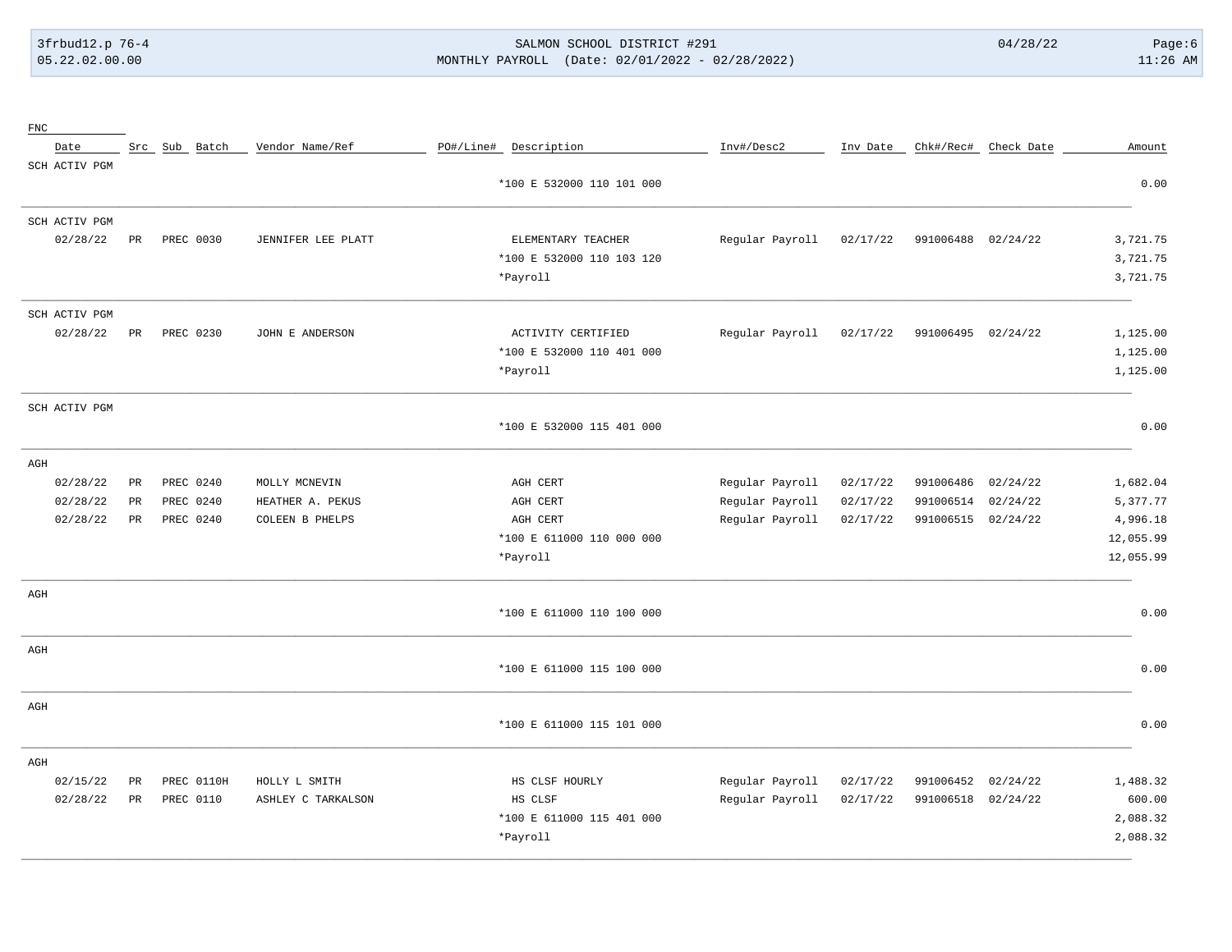# 3frbud12.p 76-4 SALMON SCHOOL DISTRICT #291 04/28/22 Page:6 05.22.02.00.00 MONTHLY PAYROLL (Date: 02/01/2022 - 02/28/2022) 11:26 AM

| ${\rm FNC}$   |                 |               |                    |                           |                 |          |                    |                      |           |
|---------------|-----------------|---------------|--------------------|---------------------------|-----------------|----------|--------------------|----------------------|-----------|
| Date          |                 | Src Sub Batch | Vendor Name/Ref    | PO#/Line# Description     | Inv#/Desc2      | Inv Date |                    | Chk#/Rec# Check Date | Amount    |
| SCH ACTIV PGM |                 |               |                    |                           |                 |          |                    |                      |           |
|               |                 |               |                    | *100 E 532000 110 101 000 |                 |          |                    |                      | 0.00      |
| SCH ACTIV PGM |                 |               |                    |                           |                 |          |                    |                      |           |
| 02/28/22      | $_{\rm PR}$     | PREC 0030     | JENNIFER LEE PLATT | ELEMENTARY TEACHER        | Regular Payroll | 02/17/22 | 991006488 02/24/22 |                      | 3,721.75  |
|               |                 |               |                    | *100 E 532000 110 103 120 |                 |          |                    |                      | 3,721.75  |
|               |                 |               |                    | *Payroll                  |                 |          |                    |                      | 3,721.75  |
| SCH ACTIV PGM |                 |               |                    |                           |                 |          |                    |                      |           |
| 02/28/22      | PR              | PREC 0230     | JOHN E ANDERSON    | ACTIVITY CERTIFIED        | Regular Payroll | 02/17/22 | 991006495 02/24/22 |                      | 1,125.00  |
|               |                 |               |                    | *100 E 532000 110 401 000 |                 |          |                    |                      | 1,125.00  |
|               |                 |               |                    | *Payroll                  |                 |          |                    |                      | 1,125.00  |
| SCH ACTIV PGM |                 |               |                    |                           |                 |          |                    |                      |           |
|               |                 |               |                    | *100 E 532000 115 401 000 |                 |          |                    |                      | 0.00      |
| AGH           |                 |               |                    |                           |                 |          |                    |                      |           |
| 02/28/22      | $\mbox{\sf PR}$ | PREC 0240     | MOLLY MCNEVIN      | AGH CERT                  | Regular Payroll | 02/17/22 | 991006486          | 02/24/22             | 1,682.04  |
| 02/28/22      | PR              | PREC 0240     | HEATHER A. PEKUS   | AGH CERT                  | Regular Payroll | 02/17/22 | 991006514          | 02/24/22             | 5,377.77  |
| 02/28/22      | $_{\rm PR}$     | PREC 0240     | COLEEN B PHELPS    | AGH CERT                  | Regular Payroll | 02/17/22 | 991006515          | 02/24/22             | 4,996.18  |
|               |                 |               |                    | *100 E 611000 110 000 000 |                 |          |                    |                      | 12,055.99 |
|               |                 |               |                    | *Payroll                  |                 |          |                    |                      | 12,055.99 |
| AGH           |                 |               |                    |                           |                 |          |                    |                      |           |
|               |                 |               |                    | *100 E 611000 110 100 000 |                 |          |                    |                      | 0.00      |
| $\rm{AGH}$    |                 |               |                    |                           |                 |          |                    |                      |           |
|               |                 |               |                    | *100 E 611000 115 100 000 |                 |          |                    |                      | 0.00      |
| AGH           |                 |               |                    |                           |                 |          |                    |                      |           |
|               |                 |               |                    | *100 E 611000 115 101 000 |                 |          |                    |                      | 0.00      |
| AGH           |                 |               |                    |                           |                 |          |                    |                      |           |
| 02/15/22      | $_{\rm PR}$     | PREC 0110H    | HOLLY L SMITH      | HS CLSF HOURLY            | Regular Payroll | 02/17/22 | 991006452          | 02/24/22             | 1,488.32  |
| 02/28/22      | $_{\rm PR}$     | PREC 0110     | ASHLEY C TARKALSON | HS CLSF                   | Regular Payroll | 02/17/22 | 991006518          | 02/24/22             | 600.00    |
|               |                 |               |                    | *100 E 611000 115 401 000 |                 |          |                    |                      | 2,088.32  |
|               |                 |               |                    | *Payroll                  |                 |          |                    |                      | 2,088.32  |
|               |                 |               |                    |                           |                 |          |                    |                      |           |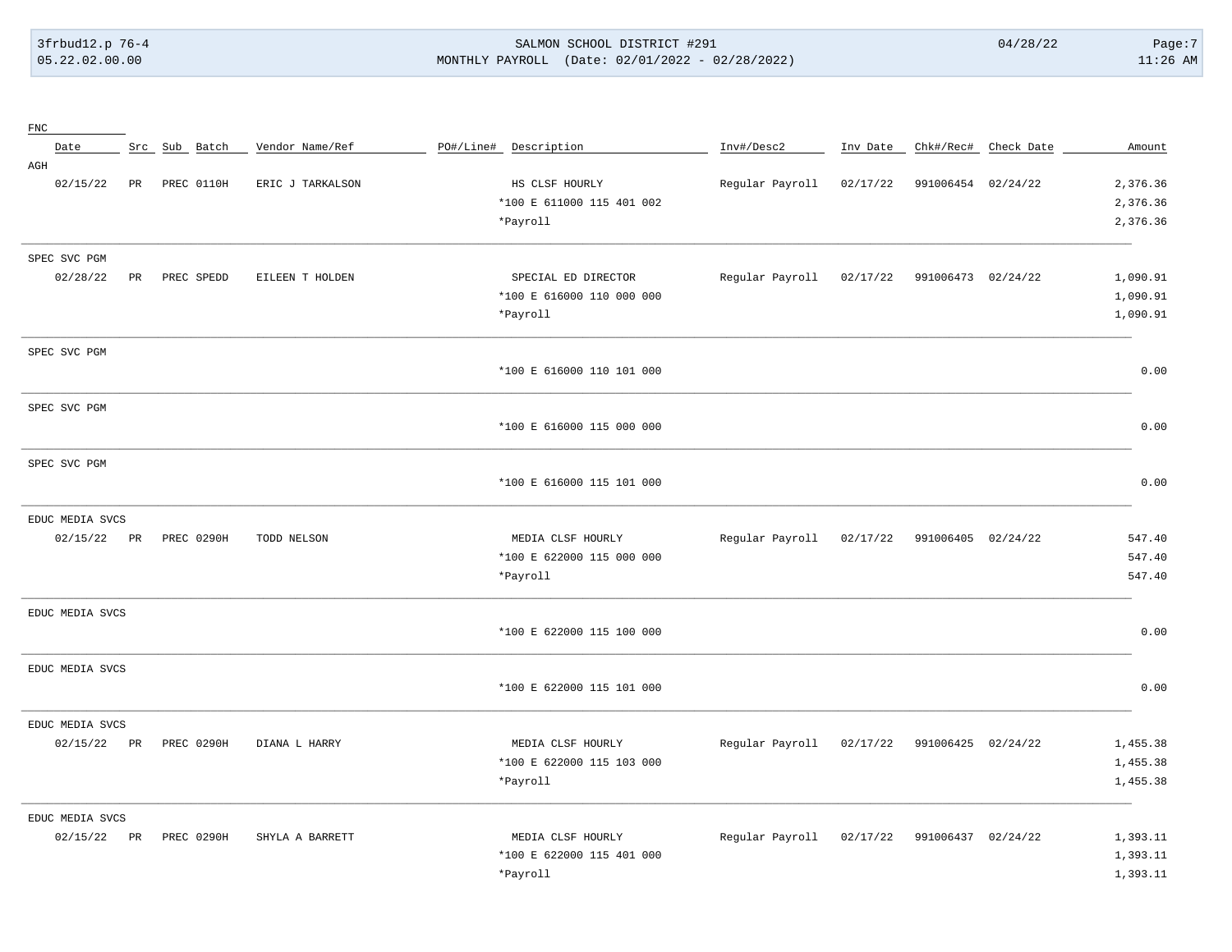# 3frbud12.p 76-4 SALMON SCHOOL DISTRICT #291 04/28/22 Page:7 05.22.02.00.00 MONTHLY PAYROLL (Date: 02/01/2022 - 02/28/2022) 11:26 AM

| ${\rm FNC}$     |             |               |                  |                           |                 |          |                    |                      |          |
|-----------------|-------------|---------------|------------------|---------------------------|-----------------|----------|--------------------|----------------------|----------|
| Date            |             | Src Sub Batch | Vendor Name/Ref  | PO#/Line# Description     | Inv#/Desc2      | Inv Date |                    | Chk#/Rec# Check Date | Amount   |
| AGH             |             |               |                  |                           |                 |          |                    |                      |          |
| 02/15/22        | PR          | PREC 0110H    | ERIC J TARKALSON | HS CLSF HOURLY            | Regular Payroll | 02/17/22 | 991006454 02/24/22 |                      | 2,376.36 |
|                 |             |               |                  | *100 E 611000 115 401 002 |                 |          |                    |                      | 2,376.36 |
|                 |             |               |                  | *Payroll                  |                 |          |                    |                      | 2,376.36 |
| SPEC SVC PGM    |             |               |                  |                           |                 |          |                    |                      |          |
| 02/28/22        | $_{\rm PR}$ | PREC SPEDD    | EILEEN T HOLDEN  | SPECIAL ED DIRECTOR       | Regular Payroll | 02/17/22 | 991006473 02/24/22 |                      | 1,090.91 |
|                 |             |               |                  | *100 E 616000 110 000 000 |                 |          |                    |                      | 1,090.91 |
|                 |             |               |                  | *Payroll                  |                 |          |                    |                      | 1,090.91 |
|                 |             |               |                  |                           |                 |          |                    |                      |          |
| SPEC SVC PGM    |             |               |                  |                           |                 |          |                    |                      |          |
|                 |             |               |                  | *100 E 616000 110 101 000 |                 |          |                    |                      | 0.00     |
| SPEC SVC PGM    |             |               |                  |                           |                 |          |                    |                      |          |
|                 |             |               |                  | *100 E 616000 115 000 000 |                 |          |                    |                      | 0.00     |
|                 |             |               |                  |                           |                 |          |                    |                      |          |
| SPEC SVC PGM    |             |               |                  |                           |                 |          |                    |                      |          |
|                 |             |               |                  | *100 E 616000 115 101 000 |                 |          |                    |                      | 0.00     |
| EDUC MEDIA SVCS |             |               |                  |                           |                 |          |                    |                      |          |
| 02/15/22        | PR          | PREC 0290H    | TODD NELSON      | MEDIA CLSF HOURLY         | Regular Payroll | 02/17/22 | 991006405 02/24/22 |                      | 547.40   |
|                 |             |               |                  | *100 E 622000 115 000 000 |                 |          |                    |                      | 547.40   |
|                 |             |               |                  | *Payroll                  |                 |          |                    |                      | 547.40   |
| EDUC MEDIA SVCS |             |               |                  |                           |                 |          |                    |                      |          |
|                 |             |               |                  | *100 E 622000 115 100 000 |                 |          |                    |                      | 0.00     |
|                 |             |               |                  |                           |                 |          |                    |                      |          |
| EDUC MEDIA SVCS |             |               |                  |                           |                 |          |                    |                      |          |
|                 |             |               |                  | *100 E 622000 115 101 000 |                 |          |                    |                      | 0.00     |
| EDUC MEDIA SVCS |             |               |                  |                           |                 |          |                    |                      |          |
| 02/15/22        | PR          | PREC 0290H    | DIANA L HARRY    | MEDIA CLSF HOURLY         | Regular Payroll | 02/17/22 | 991006425 02/24/22 |                      | 1,455.38 |
|                 |             |               |                  | *100 E 622000 115 103 000 |                 |          |                    |                      | 1,455.38 |
|                 |             |               |                  | *Payroll                  |                 |          |                    |                      | 1,455.38 |
| EDUC MEDIA SVCS |             |               |                  |                           |                 |          |                    |                      |          |
| 02/15/22        | PR          | PREC 0290H    | SHYLA A BARRETT  | MEDIA CLSF HOURLY         | Regular Payroll | 02/17/22 | 991006437 02/24/22 |                      | 1,393.11 |
|                 |             |               |                  | *100 E 622000 115 401 000 |                 |          |                    |                      | 1,393.11 |
|                 |             |               |                  | *Payroll                  |                 |          |                    |                      | 1,393.11 |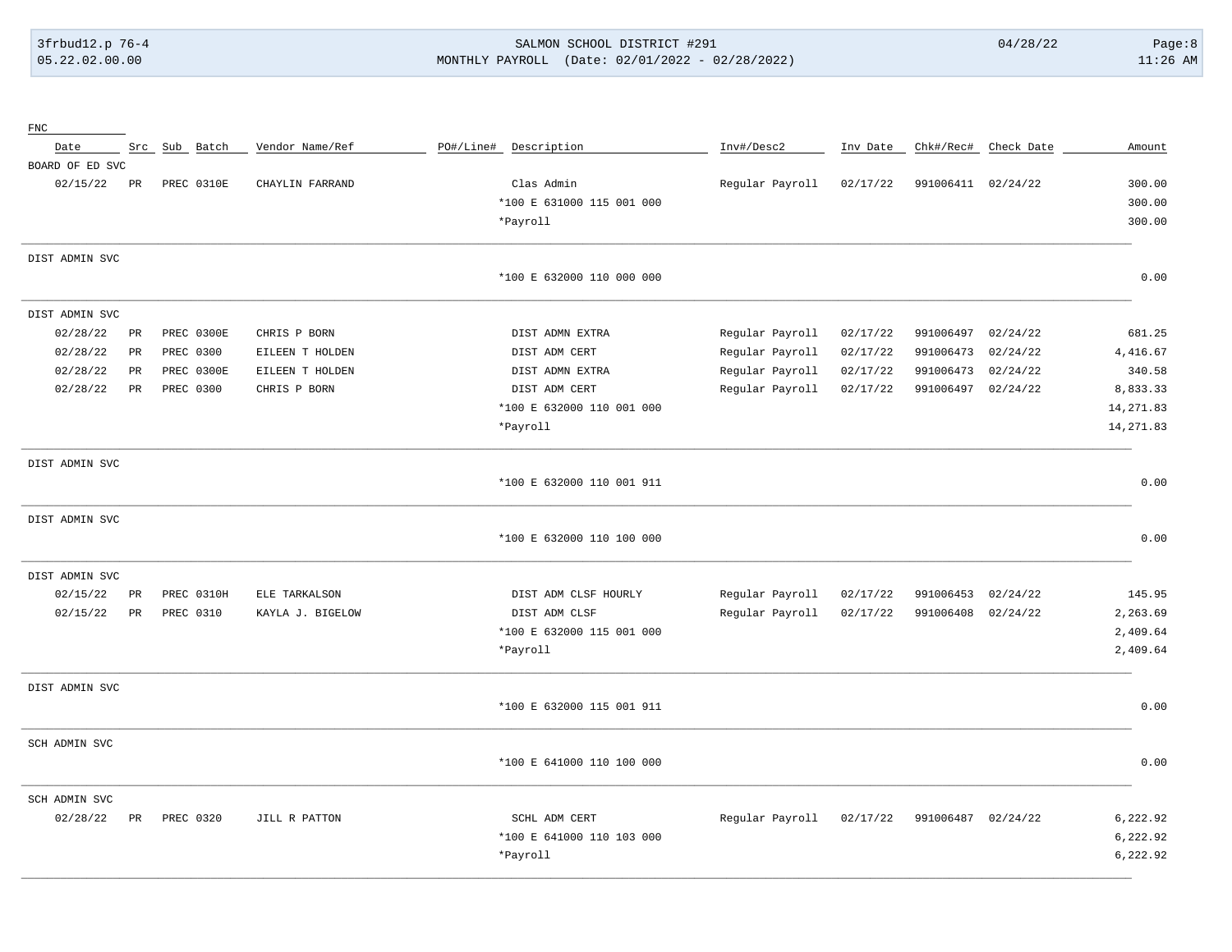#### SALMON SCHOOL DISTRICT #291 MONTHLY PAYROLL (Date: 02/01/2022 - 02/28/2022)

| ${\rm FNC}$     |             |               |                  |                           |                 |          |                    |                      |            |
|-----------------|-------------|---------------|------------------|---------------------------|-----------------|----------|--------------------|----------------------|------------|
| Date            |             | Src Sub Batch | Vendor Name/Ref  | PO#/Line# Description     | Inv#/Desc2      | Inv Date |                    | Chk#/Rec# Check Date | Amount     |
| BOARD OF ED SVC |             |               |                  |                           |                 |          |                    |                      |            |
| 02/15/22        | $_{\rm PR}$ | PREC 0310E    | CHAYLIN FARRAND  | Clas Admin                | Regular Payroll | 02/17/22 | 991006411 02/24/22 |                      | 300.00     |
|                 |             |               |                  | *100 E 631000 115 001 000 |                 |          |                    |                      | 300.00     |
|                 |             |               |                  | *Payroll                  |                 |          |                    |                      | 300.00     |
| DIST ADMIN SVC  |             |               |                  |                           |                 |          |                    |                      |            |
|                 |             |               |                  | *100 E 632000 110 000 000 |                 |          |                    |                      | 0.00       |
| DIST ADMIN SVC  |             |               |                  |                           |                 |          |                    |                      |            |
| 02/28/22        | PR          | PREC 0300E    | CHRIS P BORN     | DIST ADMN EXTRA           | Regular Payroll | 02/17/22 | 991006497          | 02/24/22             | 681.25     |
| 02/28/22        | PR          | PREC 0300     | EILEEN T HOLDEN  | DIST ADM CERT             | Regular Payroll | 02/17/22 | 991006473          | 02/24/22             | 4,416.67   |
| 02/28/22        | PR          | PREC 0300E    | EILEEN T HOLDEN  | DIST ADMN EXTRA           | Regular Payroll | 02/17/22 | 991006473          | 02/24/22             | 340.58     |
| 02/28/22        | $_{\rm PR}$ | PREC 0300     | CHRIS P BORN     | DIST ADM CERT             | Regular Payroll | 02/17/22 | 991006497          | 02/24/22             | 8,833.33   |
|                 |             |               |                  | *100 E 632000 110 001 000 |                 |          |                    |                      | 14, 271.83 |
|                 |             |               |                  | *Payroll                  |                 |          |                    |                      | 14, 271.83 |
| DIST ADMIN SVC  |             |               |                  |                           |                 |          |                    |                      |            |
|                 |             |               |                  | *100 E 632000 110 001 911 |                 |          |                    |                      | 0.00       |
| DIST ADMIN SVC  |             |               |                  |                           |                 |          |                    |                      |            |
|                 |             |               |                  | *100 E 632000 110 100 000 |                 |          |                    |                      | 0.00       |
| DIST ADMIN SVC  |             |               |                  |                           |                 |          |                    |                      |            |
| 02/15/22        | $_{\rm PR}$ | PREC 0310H    | ELE TARKALSON    | DIST ADM CLSF HOURLY      | Regular Payroll | 02/17/22 | 991006453          | 02/24/22             | 145.95     |
| 02/15/22        | PR          | PREC 0310     | KAYLA J. BIGELOW | DIST ADM CLSF             | Regular Payroll | 02/17/22 | 991006408          | 02/24/22             | 2,263.69   |
|                 |             |               |                  | *100 E 632000 115 001 000 |                 |          |                    |                      | 2,409.64   |
|                 |             |               |                  | *Payroll                  |                 |          |                    |                      | 2,409.64   |
| DIST ADMIN SVC  |             |               |                  |                           |                 |          |                    |                      |            |
|                 |             |               |                  | *100 E 632000 115 001 911 |                 |          |                    |                      | 0.00       |
| SCH ADMIN SVC   |             |               |                  |                           |                 |          |                    |                      |            |
|                 |             |               |                  | *100 E 641000 110 100 000 |                 |          |                    |                      | 0.00       |
| SCH ADMIN SVC   |             |               |                  |                           |                 |          |                    |                      |            |
| 02/28/22        | $_{\rm PR}$ | PREC 0320     | JILL R PATTON    | SCHL ADM CERT             | Regular Payroll | 02/17/22 | 991006487 02/24/22 |                      | 6,222.92   |
|                 |             |               |                  | *100 E 641000 110 103 000 |                 |          |                    |                      | 6,222.92   |
|                 |             |               |                  | *Payroll                  |                 |          |                    |                      | 6,222.92   |
|                 |             |               |                  |                           |                 |          |                    |                      |            |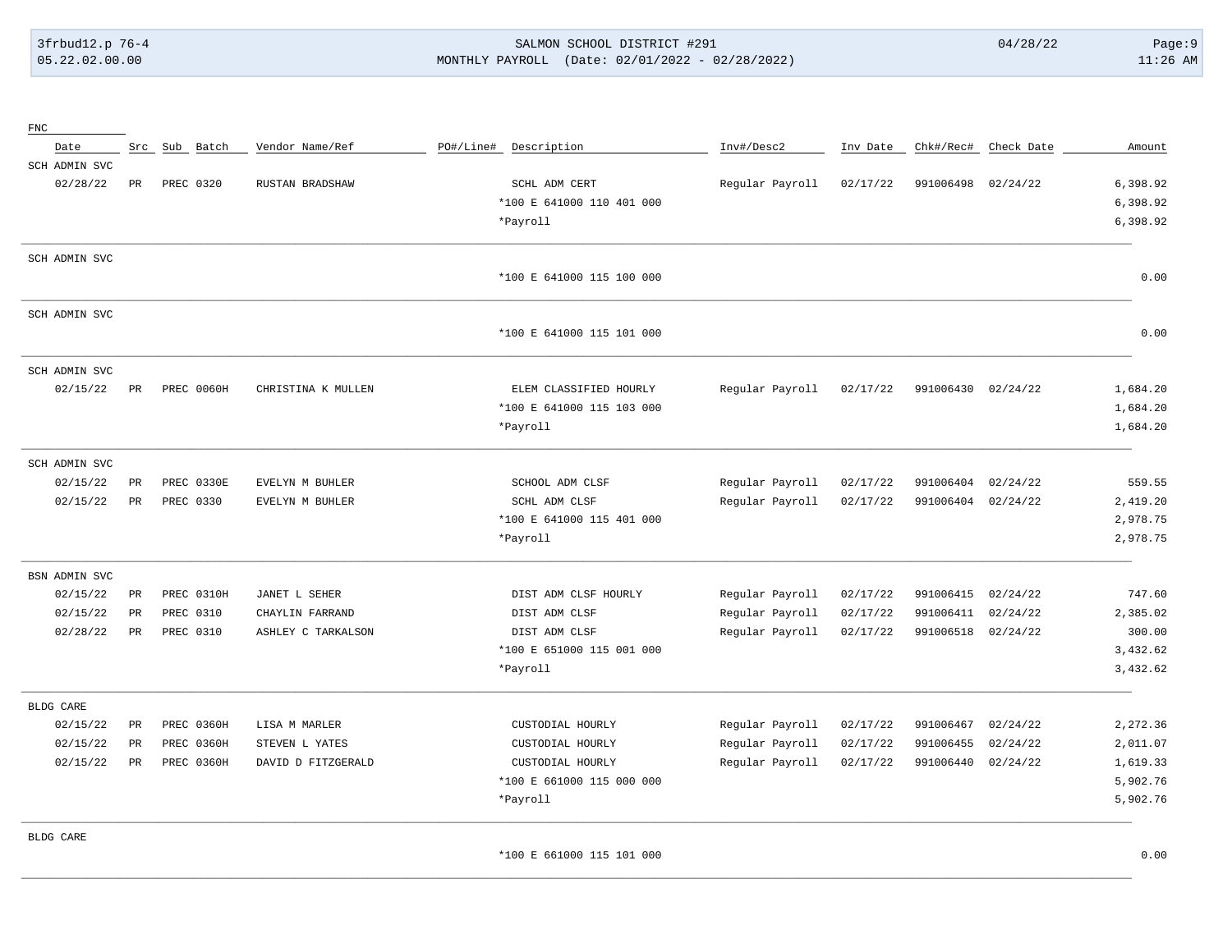#### 3frbud12.p 76-4 SALMON SCHOOL DISTRICT #291 04/28/22 Page:9 05.22.02.00.00 MONTHLY PAYROLL (Date: 02/01/2022 - 02/28/2022) 11:26 AM

| ${\rm FNC}$      |             |            |                    |                           |                 |          |           |            |          |
|------------------|-------------|------------|--------------------|---------------------------|-----------------|----------|-----------|------------|----------|
| Date             | Src         | Sub Batch  | Vendor Name/Ref    | PO#/Line#<br>Description  | Inv#/Desc2      | Inv Date | Chk#/Rec# | Check Date | Amount   |
| SCH ADMIN SVC    |             |            |                    |                           |                 |          |           |            |          |
| 02/28/22         | PR          | PREC 0320  | RUSTAN BRADSHAW    | SCHL ADM CERT             | Regular Payroll | 02/17/22 | 991006498 | 02/24/22   | 6,398.92 |
|                  |             |            |                    | *100 E 641000 110 401 000 |                 |          |           |            | 6,398.92 |
|                  |             |            |                    | *Payroll                  |                 |          |           |            | 6,398.92 |
| SCH ADMIN SVC    |             |            |                    |                           |                 |          |           |            |          |
|                  |             |            |                    | *100 E 641000 115 100 000 |                 |          |           |            | 0.00     |
| SCH ADMIN SVC    |             |            |                    |                           |                 |          |           |            |          |
|                  |             |            |                    | *100 E 641000 115 101 000 |                 |          |           |            | 0.00     |
| SCH ADMIN SVC    |             |            |                    |                           |                 |          |           |            |          |
| 02/15/22         | PR          | PREC 0060H | CHRISTINA K MULLEN | ELEM CLASSIFIED HOURLY    | Regular Payroll | 02/17/22 | 991006430 | 02/24/22   | 1,684.20 |
|                  |             |            |                    | *100 E 641000 115 103 000 |                 |          |           |            | 1,684.20 |
|                  |             |            |                    | *Payroll                  |                 |          |           |            | 1,684.20 |
| SCH ADMIN SVC    |             |            |                    |                           |                 |          |           |            |          |
| 02/15/22         | $_{\rm PR}$ | PREC 0330E | EVELYN M BUHLER    | SCHOOL ADM CLSF           | Regular Payroll | 02/17/22 | 991006404 | 02/24/22   | 559.55   |
| 02/15/22         | PR          | PREC 0330  | EVELYN M BUHLER    | SCHL ADM CLSF             | Regular Payroll | 02/17/22 | 991006404 | 02/24/22   | 2,419.20 |
|                  |             |            |                    | *100 E 641000 115 401 000 |                 |          |           |            | 2,978.75 |
|                  |             |            |                    | *Payroll                  |                 |          |           |            | 2,978.75 |
| BSN ADMIN SVC    |             |            |                    |                           |                 |          |           |            |          |
| 02/15/22         | PR          | PREC 0310H | JANET L SEHER      | DIST ADM CLSF HOURLY      | Regular Payroll | 02/17/22 | 991006415 | 02/24/22   | 747.60   |
| 02/15/22         | PR          | PREC 0310  | CHAYLIN FARRAND    | DIST ADM CLSF             | Regular Payroll | 02/17/22 | 991006411 | 02/24/22   | 2,385.02 |
| 02/28/22         | $_{\rm PR}$ | PREC 0310  | ASHLEY C TARKALSON | DIST ADM CLSF             | Regular Payroll | 02/17/22 | 991006518 | 02/24/22   | 300.00   |
|                  |             |            |                    | *100 E 651000 115 001 000 |                 |          |           |            | 3,432.62 |
|                  |             |            |                    | *Payroll                  |                 |          |           |            | 3,432.62 |
| BLDG CARE        |             |            |                    |                           |                 |          |           |            |          |
| 02/15/22         | PR          | PREC 0360H | LISA M MARLER      | CUSTODIAL HOURLY          | Regular Payroll | 02/17/22 | 991006467 | 02/24/22   | 2,272.36 |
| 02/15/22         | PR          | PREC 0360H | STEVEN L YATES     | CUSTODIAL HOURLY          | Regular Payroll | 02/17/22 | 991006455 | 02/24/22   | 2,011.07 |
| 02/15/22         | PR.         | PREC 0360H | DAVID D FITZGERALD | CUSTODIAL HOURLY          | Regular Payroll | 02/17/22 | 991006440 | 02/24/22   | 1,619.33 |
|                  |             |            |                    | *100 E 661000 115 000 000 |                 |          |           |            | 5,902.76 |
|                  |             |            |                    | *Payroll                  |                 |          |           |            | 5,902.76 |
| <b>BLDG CARE</b> |             |            |                    |                           |                 |          |           |            |          |
|                  |             |            |                    | *100 E 661000 115 101 000 |                 |          |           |            | 0.00     |

\_\_\_\_\_\_\_\_\_\_\_\_\_\_\_\_\_\_\_\_\_\_\_\_\_\_\_\_\_\_\_\_\_\_\_\_\_\_\_\_\_\_\_\_\_\_\_\_\_\_\_\_\_\_\_\_\_\_\_\_\_\_\_\_\_\_\_\_\_\_\_\_\_\_\_\_\_\_\_\_\_\_\_\_\_\_\_\_\_\_\_\_\_\_\_\_\_\_\_\_\_\_\_\_\_\_\_\_\_\_\_\_\_\_\_\_\_\_\_\_\_\_\_\_\_\_\_\_\_\_\_\_\_\_\_\_\_\_\_\_\_\_\_\_\_\_\_\_\_\_\_\_\_\_\_\_\_\_\_\_\_\_\_\_\_\_\_\_\_\_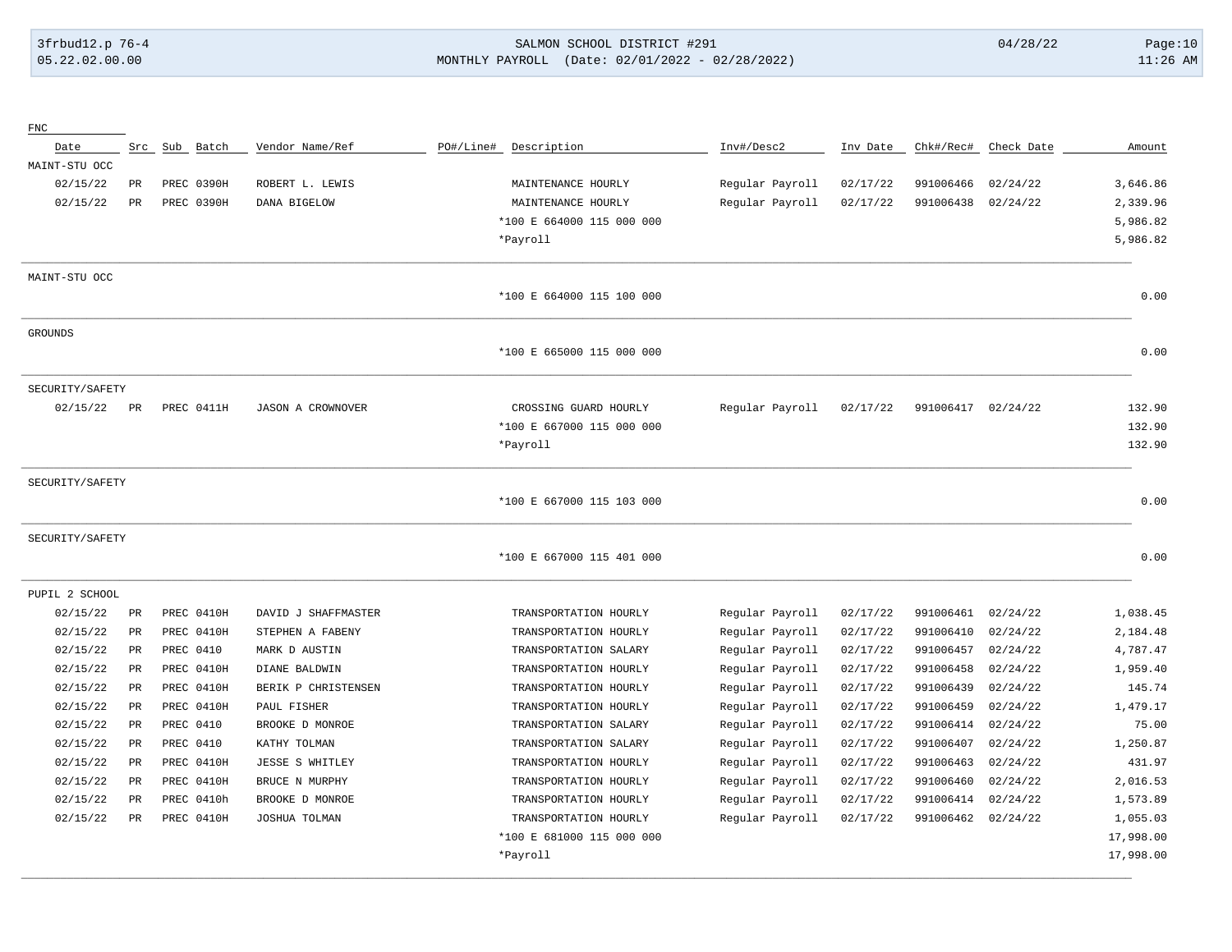# 3frbud12.p 76-4 SALMON SCHOOL DISTRICT #291 04/28/22 Page:10 05.22.02.00.00 MONTHLY PAYROLL (Date: 02/01/2022 - 02/28/2022) 11:26 AM

| ${\rm FNC}$     |           |               |                          |           |                           |                 |          |                    |            |           |
|-----------------|-----------|---------------|--------------------------|-----------|---------------------------|-----------------|----------|--------------------|------------|-----------|
| Date            |           | Src Sub Batch | Vendor Name/Ref          | PO#/Line# | Description               | Inv#/Desc2      | Inv Date | Chk#/Rec#          | Check Date | Amount    |
| MAINT-STU OCC   |           |               |                          |           |                           |                 |          |                    |            |           |
| 02/15/22        | PR        | PREC 0390H    | ROBERT L. LEWIS          |           | MAINTENANCE HOURLY        | Regular Payroll | 02/17/22 | 991006466          | 02/24/22   | 3,646.86  |
| 02/15/22        | PR        | PREC 0390H    | DANA BIGELOW             |           | MAINTENANCE HOURLY        | Regular Payroll | 02/17/22 | 991006438          | 02/24/22   | 2,339.96  |
|                 |           |               |                          |           | *100 E 664000 115 000 000 |                 |          |                    |            | 5,986.82  |
|                 |           |               |                          |           | *Payroll                  |                 |          |                    |            | 5,986.82  |
| MAINT-STU OCC   |           |               |                          |           |                           |                 |          |                    |            |           |
|                 |           |               |                          |           | *100 E 664000 115 100 000 |                 |          |                    |            | 0.00      |
| <b>GROUNDS</b>  |           |               |                          |           |                           |                 |          |                    |            |           |
|                 |           |               |                          |           | *100 E 665000 115 000 000 |                 |          |                    |            | 0.00      |
| SECURITY/SAFETY |           |               |                          |           |                           |                 |          |                    |            |           |
| 02/15/22        | PR        | PREC 0411H    | <b>JASON A CROWNOVER</b> |           | CROSSING GUARD HOURLY     | Regular Payroll | 02/17/22 | 991006417 02/24/22 |            | 132.90    |
|                 |           |               |                          |           | *100 E 667000 115 000 000 |                 |          |                    |            | 132.90    |
|                 |           |               |                          |           | *Payroll                  |                 |          |                    |            | 132.90    |
| SECURITY/SAFETY |           |               |                          |           |                           |                 |          |                    |            |           |
|                 |           |               |                          |           | *100 E 667000 115 103 000 |                 |          |                    |            | 0.00      |
| SECURITY/SAFETY |           |               |                          |           |                           |                 |          |                    |            |           |
|                 |           |               |                          |           | *100 E 667000 115 401 000 |                 |          |                    |            | 0.00      |
| PUPIL 2 SCHOOL  |           |               |                          |           |                           |                 |          |                    |            |           |
| 02/15/22        | PR        | PREC 0410H    | DAVID J SHAFFMASTER      |           | TRANSPORTATION HOURLY     | Regular Payroll | 02/17/22 | 991006461          | 02/24/22   | 1,038.45  |
| 02/15/22        | PR        | PREC 0410H    | STEPHEN A FABENY         |           | TRANSPORTATION HOURLY     | Regular Payroll | 02/17/22 | 991006410          | 02/24/22   | 2,184.48  |
| 02/15/22        | PR        | PREC 0410     | MARK D AUSTIN            |           | TRANSPORTATION SALARY     | Regular Payroll | 02/17/22 | 991006457          | 02/24/22   | 4,787.47  |
| 02/15/22        | PR        | PREC 0410H    | DIANE BALDWIN            |           | TRANSPORTATION HOURLY     | Regular Payroll | 02/17/22 | 991006458          | 02/24/22   | 1,959.40  |
| 02/15/22        | <b>PR</b> | PREC 0410H    | BERIK P CHRISTENSEN      |           | TRANSPORTATION HOURLY     | Regular Payroll | 02/17/22 | 991006439          | 02/24/22   | 145.74    |
| 02/15/22        | PR        | PREC 0410H    | PAUL FISHER              |           | TRANSPORTATION HOURLY     | Regular Payroll | 02/17/22 | 991006459          | 02/24/22   | 1,479.17  |
| 02/15/22        | PR        | PREC 0410     | BROOKE D MONROE          |           | TRANSPORTATION SALARY     | Regular Payroll | 02/17/22 | 991006414          | 02/24/22   | 75.00     |
| 02/15/22        | <b>PR</b> | PREC 0410     | KATHY TOLMAN             |           | TRANSPORTATION SALARY     | Regular Payroll | 02/17/22 | 991006407          | 02/24/22   | 1,250.87  |
| 02/15/22        | PR        | PREC 0410H    | <b>JESSE S WHITLEY</b>   |           | TRANSPORTATION HOURLY     | Regular Payroll | 02/17/22 | 991006463          | 02/24/22   | 431.97    |
| 02/15/22        | PR        | PREC 0410H    | BRUCE N MURPHY           |           | TRANSPORTATION HOURLY     | Regular Payroll | 02/17/22 | 991006460          | 02/24/22   | 2,016.53  |
| 02/15/22        | PR        | PREC 0410h    | BROOKE D MONROE          |           | TRANSPORTATION HOURLY     | Regular Payroll | 02/17/22 | 991006414          | 02/24/22   | 1,573.89  |
| 02/15/22        | PR        | PREC 0410H    | JOSHUA TOLMAN            |           | TRANSPORTATION HOURLY     | Regular Payroll | 02/17/22 | 991006462          | 02/24/22   | 1,055.03  |
|                 |           |               |                          |           | *100 E 681000 115 000 000 |                 |          |                    |            | 17,998.00 |
|                 |           |               |                          |           | *Payroll                  |                 |          |                    |            | 17,998.00 |
|                 |           |               |                          |           |                           |                 |          |                    |            |           |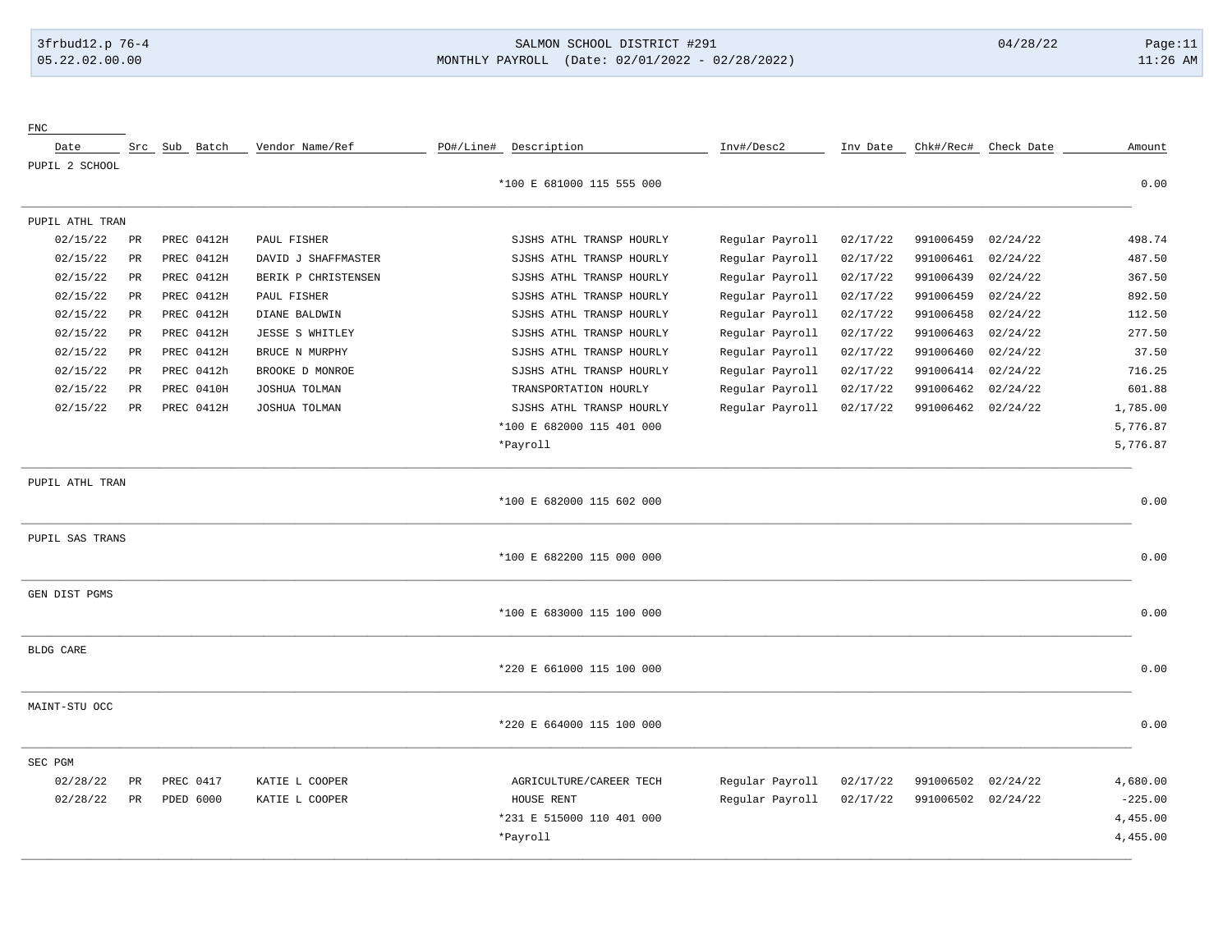FNC

# 3frbud12.p 76-4 SALMON SCHOOL DISTRICT #291 04/28/22 Page:11 05.22.02.00.00 MONTHLY PAYROLL (Date: 02/01/2022 - 02/28/2022) 11:26 AM

| Date             |             |           | Src Sub Batch | Vendor Name/Ref     | PO#/Line# Description     | Inv#/Desc2      | Inv Date |           | Chk#/Rec# Check Date | Amount    |
|------------------|-------------|-----------|---------------|---------------------|---------------------------|-----------------|----------|-----------|----------------------|-----------|
| PUPIL 2 SCHOOL   |             |           |               |                     |                           |                 |          |           |                      |           |
|                  |             |           |               |                     | *100 E 681000 115 555 000 |                 |          |           |                      | 0.00      |
| PUPIL ATHL TRAN  |             |           |               |                     |                           |                 |          |           |                      |           |
| 02/15/22         | PR          |           | PREC 0412H    | PAUL FISHER         | SJSHS ATHL TRANSP HOURLY  | Regular Payroll | 02/17/22 | 991006459 | 02/24/22             | 498.74    |
| 02/15/22         | PR          |           | PREC 0412H    | DAVID J SHAFFMASTER | SJSHS ATHL TRANSP HOURLY  | Regular Payroll | 02/17/22 | 991006461 | 02/24/22             | 487.50    |
| 02/15/22         | PR          |           | PREC 0412H    | BERIK P CHRISTENSEN | SJSHS ATHL TRANSP HOURLY  | Regular Payroll | 02/17/22 | 991006439 | 02/24/22             | 367.50    |
| 02/15/22         | PR          |           | PREC 0412H    | PAUL FISHER         | SJSHS ATHL TRANSP HOURLY  | Regular Payroll | 02/17/22 | 991006459 | 02/24/22             | 892.50    |
| 02/15/22         | PR          |           | PREC 0412H    | DIANE BALDWIN       | SJSHS ATHL TRANSP HOURLY  | Regular Payroll | 02/17/22 | 991006458 | 02/24/22             | 112.50    |
| 02/15/22         | PR          |           | PREC 0412H    | JESSE S WHITLEY     | SJSHS ATHL TRANSP HOURLY  | Regular Payroll | 02/17/22 | 991006463 | 02/24/22             | 277.50    |
| 02/15/22         | PR          |           | PREC 0412H    | BRUCE N MURPHY      | SJSHS ATHL TRANSP HOURLY  | Regular Payroll | 02/17/22 | 991006460 | 02/24/22             | 37.50     |
| 02/15/22         | PR          |           | PREC 0412h    | BROOKE D MONROE     | SJSHS ATHL TRANSP HOURLY  | Regular Payroll | 02/17/22 | 991006414 | 02/24/22             | 716.25    |
| 02/15/22         | PR          |           | PREC 0410H    | JOSHUA TOLMAN       | TRANSPORTATION HOURLY     | Regular Payroll | 02/17/22 | 991006462 | 02/24/22             | 601.88    |
| 02/15/22         | $_{\rm PR}$ |           | PREC 0412H    | JOSHUA TOLMAN       | SJSHS ATHL TRANSP HOURLY  | Regular Payroll | 02/17/22 | 991006462 | 02/24/22             | 1,785.00  |
|                  |             |           |               |                     | *100 E 682000 115 401 000 |                 |          |           |                      | 5,776.87  |
|                  |             |           |               |                     | *Payroll                  |                 |          |           |                      | 5,776.87  |
| PUPIL ATHL TRAN  |             |           |               |                     |                           |                 |          |           |                      |           |
|                  |             |           |               |                     | *100 E 682000 115 602 000 |                 |          |           |                      | 0.00      |
| PUPIL SAS TRANS  |             |           |               |                     |                           |                 |          |           |                      |           |
|                  |             |           |               |                     | *100 E 682200 115 000 000 |                 |          |           |                      | 0.00      |
| GEN DIST PGMS    |             |           |               |                     |                           |                 |          |           |                      |           |
|                  |             |           |               |                     | *100 E 683000 115 100 000 |                 |          |           |                      | 0.00      |
| <b>BLDG CARE</b> |             |           |               |                     |                           |                 |          |           |                      |           |
|                  |             |           |               |                     | *220 E 661000 115 100 000 |                 |          |           |                      | 0.00      |
| MAINT-STU OCC    |             |           |               |                     |                           |                 |          |           |                      |           |
|                  |             |           |               |                     | *220 E 664000 115 100 000 |                 |          |           |                      | 0.00      |
| SEC PGM          |             |           |               |                     |                           |                 |          |           |                      |           |
| 02/28/22         | $_{\rm PR}$ | PREC 0417 |               | KATIE L COOPER      | AGRICULTURE/CAREER TECH   | Regular Payroll | 02/17/22 | 991006502 | 02/24/22             | 4,680.00  |
| 02/28/22         | PR          | PDED 6000 |               | KATIE L COOPER      | HOUSE RENT                | Regular Payroll | 02/17/22 | 991006502 | 02/24/22             | $-225.00$ |
|                  |             |           |               |                     | *231 E 515000 110 401 000 |                 |          |           |                      | 4,455.00  |
|                  |             |           |               |                     | *Payroll                  |                 |          |           |                      | 4,455.00  |
|                  |             |           |               |                     |                           |                 |          |           |                      |           |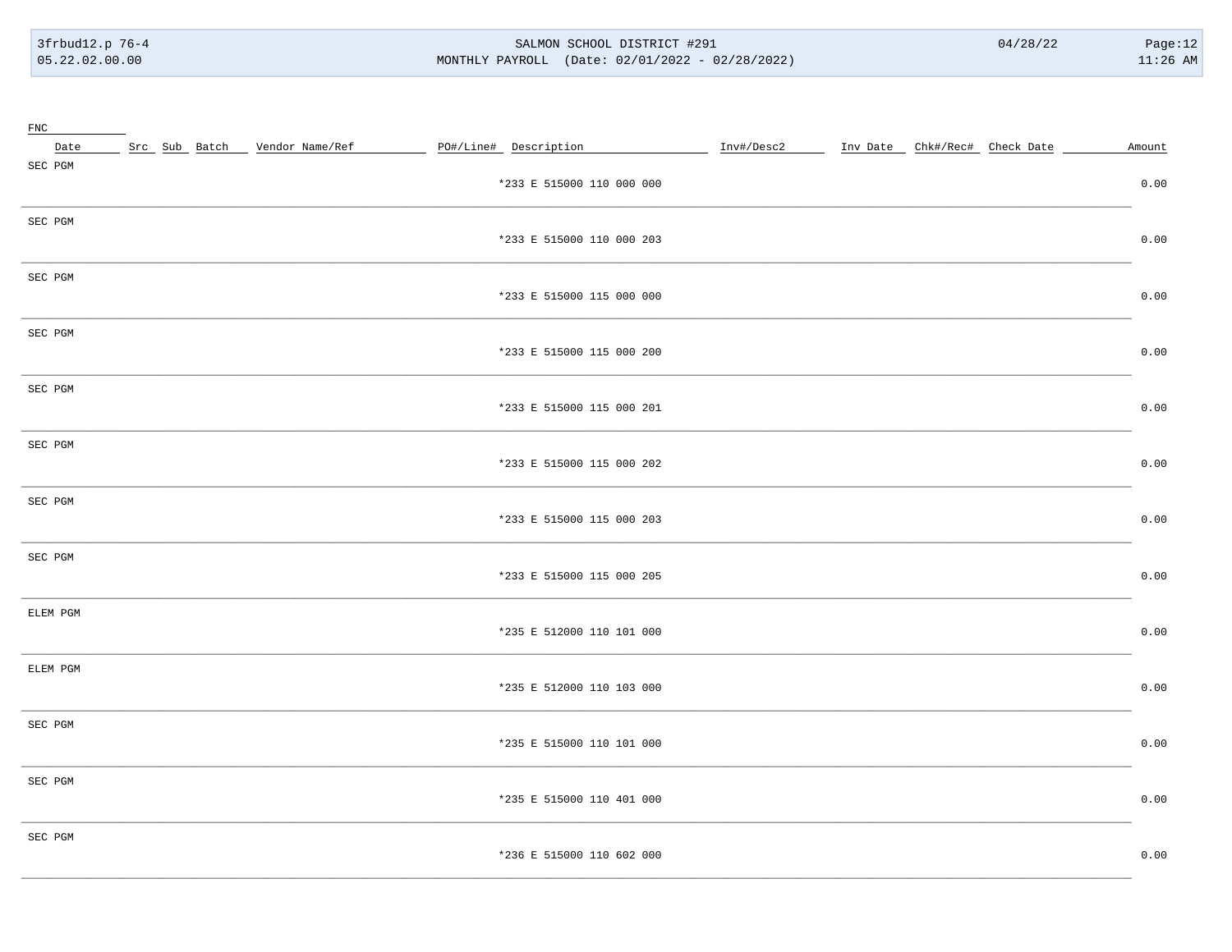#### SALMON SCHOOL DISTRICT #291 MONTHLY PAYROLL (Date: 02/01/2022 - 02/28/2022)

 $04/28/22$ 

Page:12  $11:26$  AM

| Src Sub Batch Vendor Name/Ref<br>PO#/Line# Description<br>Inv#/Desc2 Inv Date Chk#/Rec# Check Date<br>Date<br>SEC PGM<br>*233 E 515000 110 000 000<br>SEC PGM<br>*233 E 515000 110 000 203<br>SEC PGM<br>*233 E 515000 115 000 000<br>SEC PGM<br>*233 E 515000 115 000 200<br>SEC PGM<br>*233 E 515000 115 000 201<br>SEC PGM<br>*233 E 515000 115 000 202<br>SEC PGM<br>*233 E 515000 115 000 203<br>SEC PGM<br>*233 E 515000 115 000 205<br>ELEM PGM<br>*235 E 512000 110 101 000<br>ELEM PGM<br>*235 E 512000 110 103 000<br>SEC PGM<br>*235 E 515000 110 101 000<br>SEC PGM<br>*235 E 515000 110 401 000<br>SEC PGM<br>*236 E 515000 110 602 000 | $_{\text{FNC}}$ |  |  |        |
|------------------------------------------------------------------------------------------------------------------------------------------------------------------------------------------------------------------------------------------------------------------------------------------------------------------------------------------------------------------------------------------------------------------------------------------------------------------------------------------------------------------------------------------------------------------------------------------------------------------------------------------------------|-----------------|--|--|--------|
|                                                                                                                                                                                                                                                                                                                                                                                                                                                                                                                                                                                                                                                      |                 |  |  | Amount |
|                                                                                                                                                                                                                                                                                                                                                                                                                                                                                                                                                                                                                                                      |                 |  |  | 0.00   |
|                                                                                                                                                                                                                                                                                                                                                                                                                                                                                                                                                                                                                                                      |                 |  |  | 0.00   |
|                                                                                                                                                                                                                                                                                                                                                                                                                                                                                                                                                                                                                                                      |                 |  |  | 0.00   |
|                                                                                                                                                                                                                                                                                                                                                                                                                                                                                                                                                                                                                                                      |                 |  |  | 0.00   |
|                                                                                                                                                                                                                                                                                                                                                                                                                                                                                                                                                                                                                                                      |                 |  |  | 0.00   |
|                                                                                                                                                                                                                                                                                                                                                                                                                                                                                                                                                                                                                                                      |                 |  |  | 0.00   |
|                                                                                                                                                                                                                                                                                                                                                                                                                                                                                                                                                                                                                                                      |                 |  |  | 0.00   |
|                                                                                                                                                                                                                                                                                                                                                                                                                                                                                                                                                                                                                                                      |                 |  |  | 0.00   |
|                                                                                                                                                                                                                                                                                                                                                                                                                                                                                                                                                                                                                                                      |                 |  |  | 0.00   |
|                                                                                                                                                                                                                                                                                                                                                                                                                                                                                                                                                                                                                                                      |                 |  |  | 0.00   |
|                                                                                                                                                                                                                                                                                                                                                                                                                                                                                                                                                                                                                                                      |                 |  |  | 0.00   |
|                                                                                                                                                                                                                                                                                                                                                                                                                                                                                                                                                                                                                                                      |                 |  |  | 0.00   |
|                                                                                                                                                                                                                                                                                                                                                                                                                                                                                                                                                                                                                                                      |                 |  |  | 0.00   |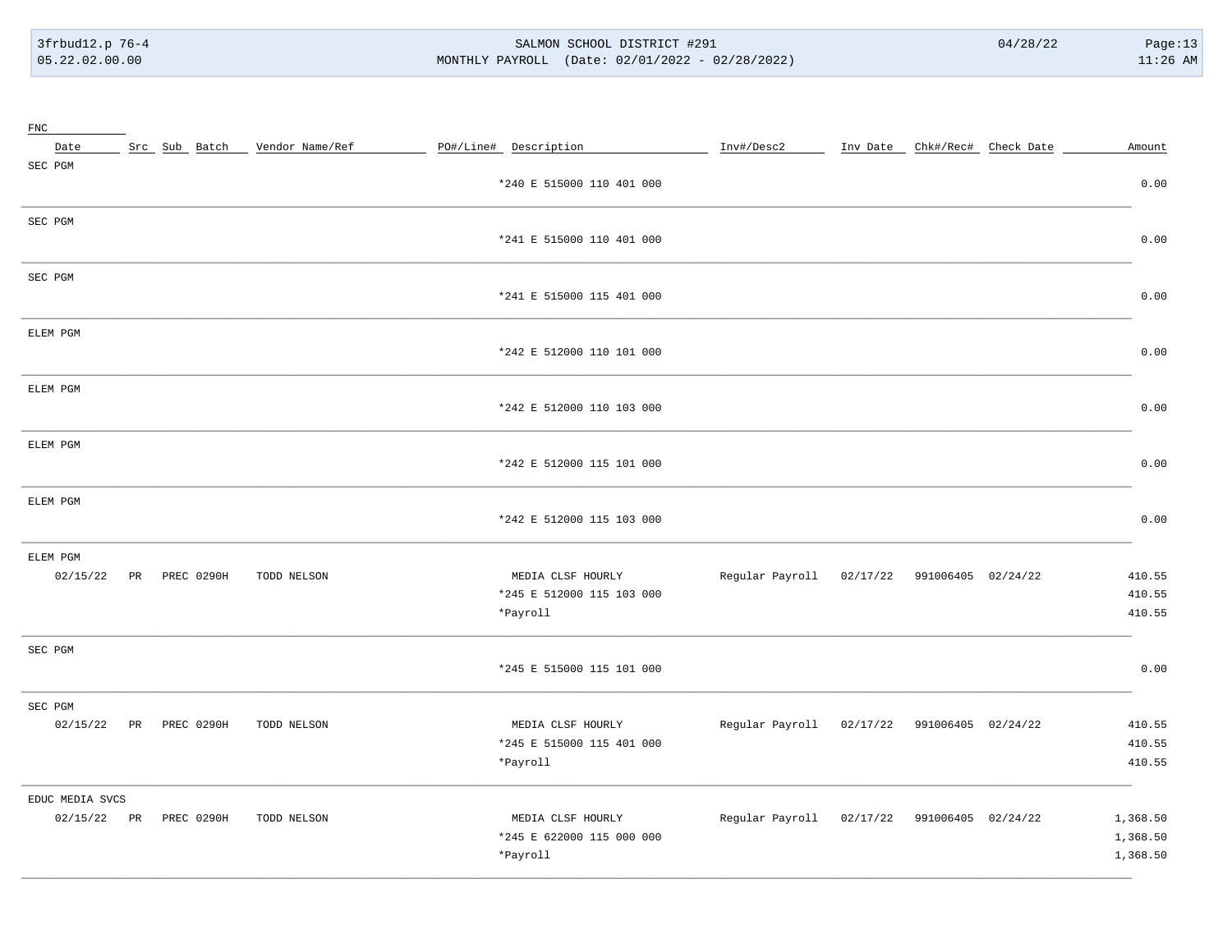#### SALMON SCHOOL DISTRICT #291 MONTHLY PAYROLL (Date: 02/01/2022 - 02/28/2022)

| $_{\rm FNC}$                   |    |                   |                                 |                                                            |                                             |          |                               |                                  |
|--------------------------------|----|-------------------|---------------------------------|------------------------------------------------------------|---------------------------------------------|----------|-------------------------------|----------------------------------|
| Date                           |    |                   | Src Sub Batch _ Vendor Name/Ref | PO#/Line# Description                                      | Inv#/Desc2                                  |          | Inv Date Chk#/Rec# Check Date | Amount                           |
| SEC PGM                        |    |                   |                                 | *240 E 515000 110 401 000                                  |                                             |          |                               | 0.00                             |
| SEC PGM                        |    |                   |                                 | *241 E 515000 110 401 000                                  |                                             |          |                               | 0.00                             |
| SEC PGM                        |    |                   |                                 | *241 E 515000 115 401 000                                  |                                             |          |                               | 0.00                             |
| ELEM PGM                       |    |                   |                                 | *242 E 512000 110 101 000                                  |                                             |          |                               | 0.00                             |
| ELEM PGM                       |    |                   |                                 | *242 E 512000 110 103 000                                  |                                             |          |                               | 0.00                             |
| ELEM PGM                       |    |                   |                                 | *242 E 512000 115 101 000                                  |                                             |          |                               | 0.00                             |
| ELEM PGM                       |    |                   |                                 | *242 E 512000 115 103 000                                  |                                             |          |                               | 0.00                             |
| ELEM PGM<br>02/15/22           | PR | <b>PREC 0290H</b> | TODD NELSON                     | MEDIA CLSF HOURLY<br>*245 E 512000 115 103 000<br>*Payroll | Regular Payroll                             | 02/17/22 | 991006405 02/24/22            | 410.55<br>410.55<br>410.55       |
| SEC PGM                        |    |                   |                                 | *245 E 515000 115 101 000                                  |                                             |          |                               | 0.00                             |
| SEC PGM<br>02/15/22            | PR | PREC 0290H        | TODD NELSON                     | MEDIA CLSF HOURLY<br>*245 E 515000 115 401 000<br>*Payroll | Regular Payroll 02/17/22 991006405 02/24/22 |          |                               | 410.55<br>410.55<br>410.55       |
| EDUC MEDIA SVCS<br>02/15/22 PR |    | PREC 0290H        | TODD NELSON                     | MEDIA CLSF HOURLY<br>*245 E 622000 115 000 000<br>*Payroll | Regular Payroll                             | 02/17/22 | 991006405 02/24/22            | 1,368.50<br>1,368.50<br>1,368.50 |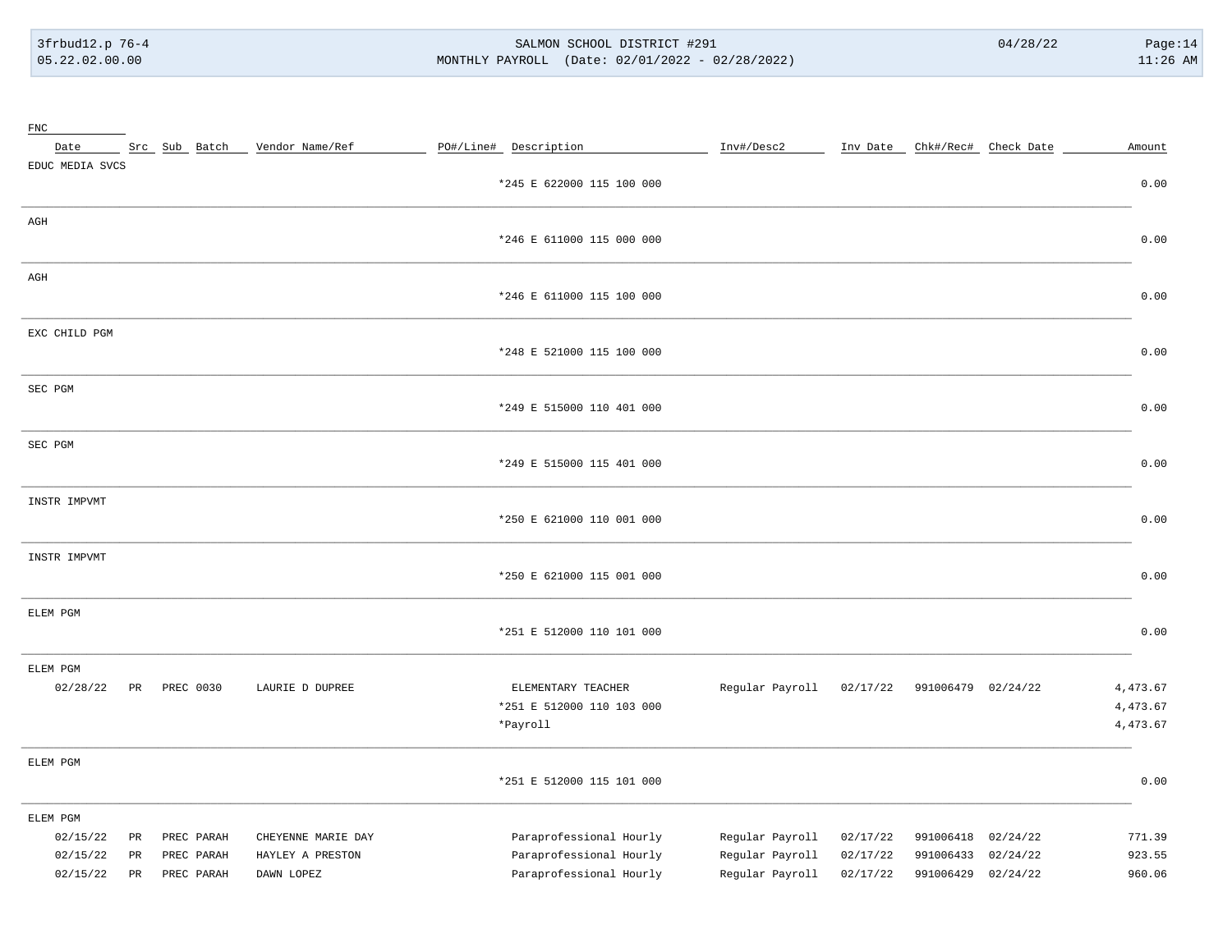# 3frbud12.p 76-4 SALMON SCHOOL DISTRICT #291 04/28/22 Page:14 05.22.02.00.00 MONTHLY PAYROLL (Date: 02/01/2022 - 02/28/2022) 11:26 AM

| $_{\rm FNC}$    |             |               |                    |                       |                           |                 |          |                    |                               |          |
|-----------------|-------------|---------------|--------------------|-----------------------|---------------------------|-----------------|----------|--------------------|-------------------------------|----------|
| Date            |             | Src Sub Batch | Vendor Name/Ref    | PO#/Line# Description |                           | Inv#/Desc2      |          |                    | Inv Date Chk#/Rec# Check Date | Amount   |
| EDUC MEDIA SVCS |             |               |                    |                       | *245 E 622000 115 100 000 |                 |          |                    |                               | 0.00     |
| AGH             |             |               |                    |                       |                           |                 |          |                    |                               |          |
|                 |             |               |                    |                       | *246 E 611000 115 000 000 |                 |          |                    |                               | 0.00     |
| AGH             |             |               |                    |                       | *246 E 611000 115 100 000 |                 |          |                    |                               | 0.00     |
| EXC CHILD PGM   |             |               |                    |                       | *248 E 521000 115 100 000 |                 |          |                    |                               | 0.00     |
| SEC PGM         |             |               |                    |                       | *249 E 515000 110 401 000 |                 |          |                    |                               | 0.00     |
| SEC PGM         |             |               |                    |                       | *249 E 515000 115 401 000 |                 |          |                    |                               | 0.00     |
| INSTR IMPVMT    |             |               |                    |                       | *250 E 621000 110 001 000 |                 |          |                    |                               | 0.00     |
| INSTR IMPVMT    |             |               |                    |                       | *250 E 621000 115 001 000 |                 |          |                    |                               | 0.00     |
| ELEM PGM        |             |               |                    |                       | *251 E 512000 110 101 000 |                 |          |                    |                               | 0.00     |
| ELEM PGM        |             |               |                    |                       |                           |                 |          |                    |                               |          |
| 02/28/22        | PR          | PREC 0030     | LAURIE D DUPREE    |                       | ELEMENTARY TEACHER        | Regular Payroll | 02/17/22 | 991006479 02/24/22 |                               | 4,473.67 |
|                 |             |               |                    |                       | *251 E 512000 110 103 000 |                 |          |                    |                               | 4,473.67 |
|                 |             |               |                    | *Payroll              |                           |                 |          |                    |                               | 4,473.67 |
| ELEM PGM        |             |               |                    |                       |                           |                 |          |                    |                               |          |
|                 |             |               |                    |                       | *251 E 512000 115 101 000 |                 |          |                    |                               | 0.00     |
| ELEM PGM        |             |               |                    |                       |                           |                 |          |                    |                               |          |
| 02/15/22        | PR          | PREC PARAH    | CHEYENNE MARIE DAY |                       | Paraprofessional Hourly   | Regular Payroll | 02/17/22 | 991006418          | 02/24/22                      | 771.39   |
| 02/15/22        | PR          | PREC PARAH    | HAYLEY A PRESTON   |                       | Paraprofessional Hourly   | Regular Payroll | 02/17/22 | 991006433          | 02/24/22                      | 923.55   |
| 02/15/22        | $_{\rm PR}$ | PREC PARAH    | DAWN LOPEZ         |                       | Paraprofessional Hourly   | Regular Payroll | 02/17/22 | 991006429          | 02/24/22                      | 960.06   |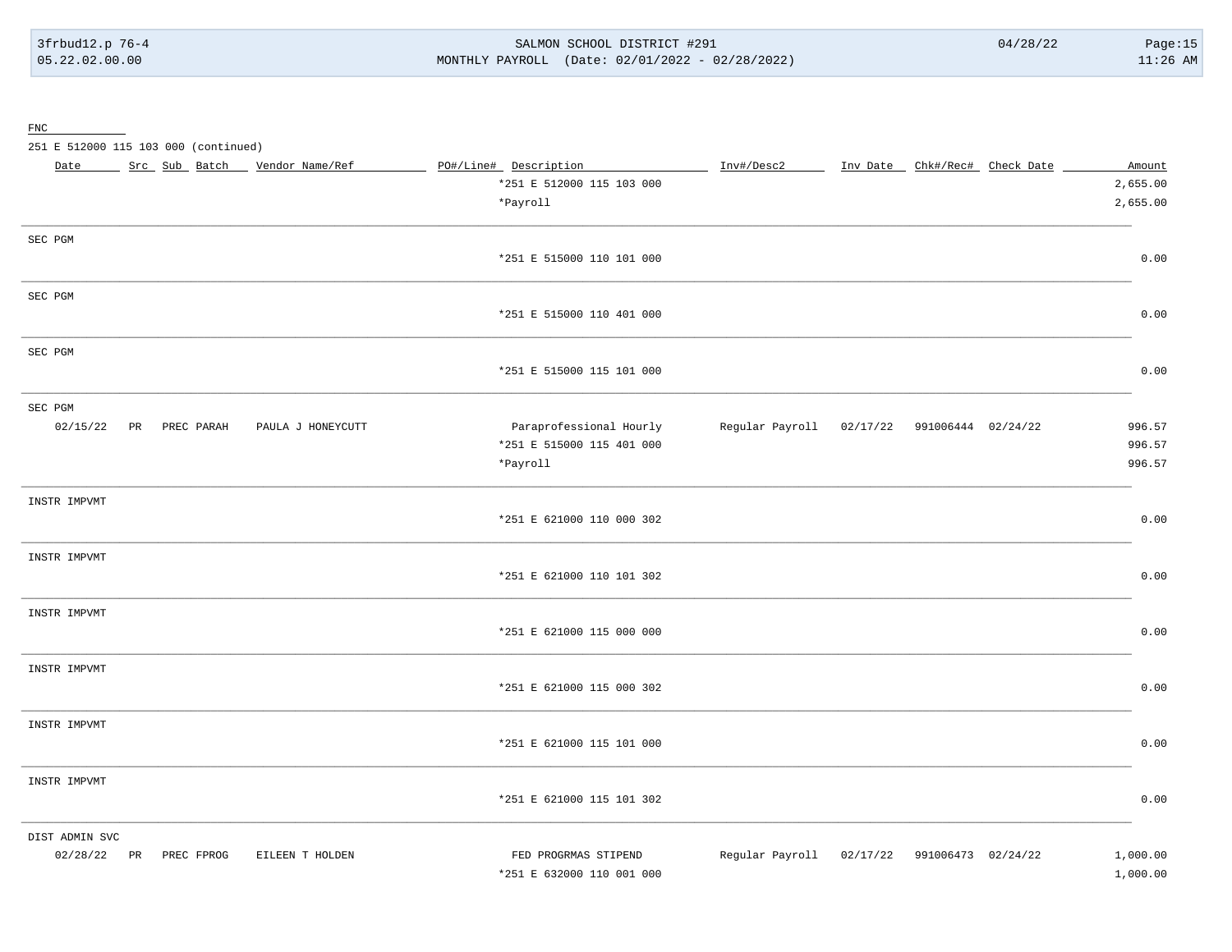SALMON SCHOOL DISTRICT #291 MONTHLY PAYROLL (Date: 02/01/2022 - 02/28/2022)

 $\underline{\text{FNC}}$ 

251 E 512000 115 103 000 (continued)

| Date           |    |            | Src Sub Batch | Vendor Name/Ref   | PO#/Line# Description     | Inv#/Desc2                                  | Inv Date _ Chk#/Rec# Check Date | Amount   |
|----------------|----|------------|---------------|-------------------|---------------------------|---------------------------------------------|---------------------------------|----------|
|                |    |            |               |                   | *251 E 512000 115 103 000 |                                             |                                 | 2,655.00 |
|                |    |            |               |                   | *Payroll                  |                                             |                                 | 2,655.00 |
| SEC PGM        |    |            |               |                   |                           |                                             |                                 |          |
|                |    |            |               |                   | *251 E 515000 110 101 000 |                                             |                                 | 0.00     |
| SEC PGM        |    |            |               |                   |                           |                                             |                                 |          |
|                |    |            |               |                   | *251 E 515000 110 401 000 |                                             |                                 | 0.00     |
| SEC PGM        |    |            |               |                   |                           |                                             |                                 |          |
|                |    |            |               |                   | *251 E 515000 115 101 000 |                                             |                                 | 0.00     |
| SEC PGM        |    |            |               |                   |                           |                                             |                                 |          |
| 02/15/22       | PR | PREC PARAH |               | PAULA J HONEYCUTT | Paraprofessional Hourly   | Regular Payroll 02/17/22 991006444 02/24/22 |                                 | 996.57   |
|                |    |            |               |                   | *251 E 515000 115 401 000 |                                             |                                 | 996.57   |
|                |    |            |               |                   | *Payroll                  |                                             |                                 | 996.57   |
| INSTR IMPVMT   |    |            |               |                   |                           |                                             |                                 |          |
|                |    |            |               |                   | *251 E 621000 110 000 302 |                                             |                                 | 0.00     |
| INSTR IMPVMT   |    |            |               |                   |                           |                                             |                                 |          |
|                |    |            |               |                   | *251 E 621000 110 101 302 |                                             |                                 | 0.00     |
| INSTR IMPVMT   |    |            |               |                   |                           |                                             |                                 |          |
|                |    |            |               |                   | *251 E 621000 115 000 000 |                                             |                                 | 0.00     |
| INSTR IMPVMT   |    |            |               |                   |                           |                                             |                                 |          |
|                |    |            |               |                   | *251 E 621000 115 000 302 |                                             |                                 | 0.00     |
| INSTR IMPVMT   |    |            |               |                   |                           |                                             |                                 |          |
|                |    |            |               |                   | *251 E 621000 115 101 000 |                                             |                                 | 0.00     |
| INSTR IMPVMT   |    |            |               |                   |                           |                                             |                                 |          |
|                |    |            |               |                   | *251 E 621000 115 101 302 |                                             |                                 | 0.00     |
| DIST ADMIN SVC |    |            |               |                   |                           |                                             |                                 |          |
| 02/28/22       | PR | PREC FPROG |               | EILEEN T HOLDEN   | FED PROGRMAS STIPEND      | Regular Payroll                             | 02/17/22 991006473 02/24/22     | 1,000.00 |
|                |    |            |               |                   | *251 E 632000 110 001 000 |                                             |                                 | 1,000.00 |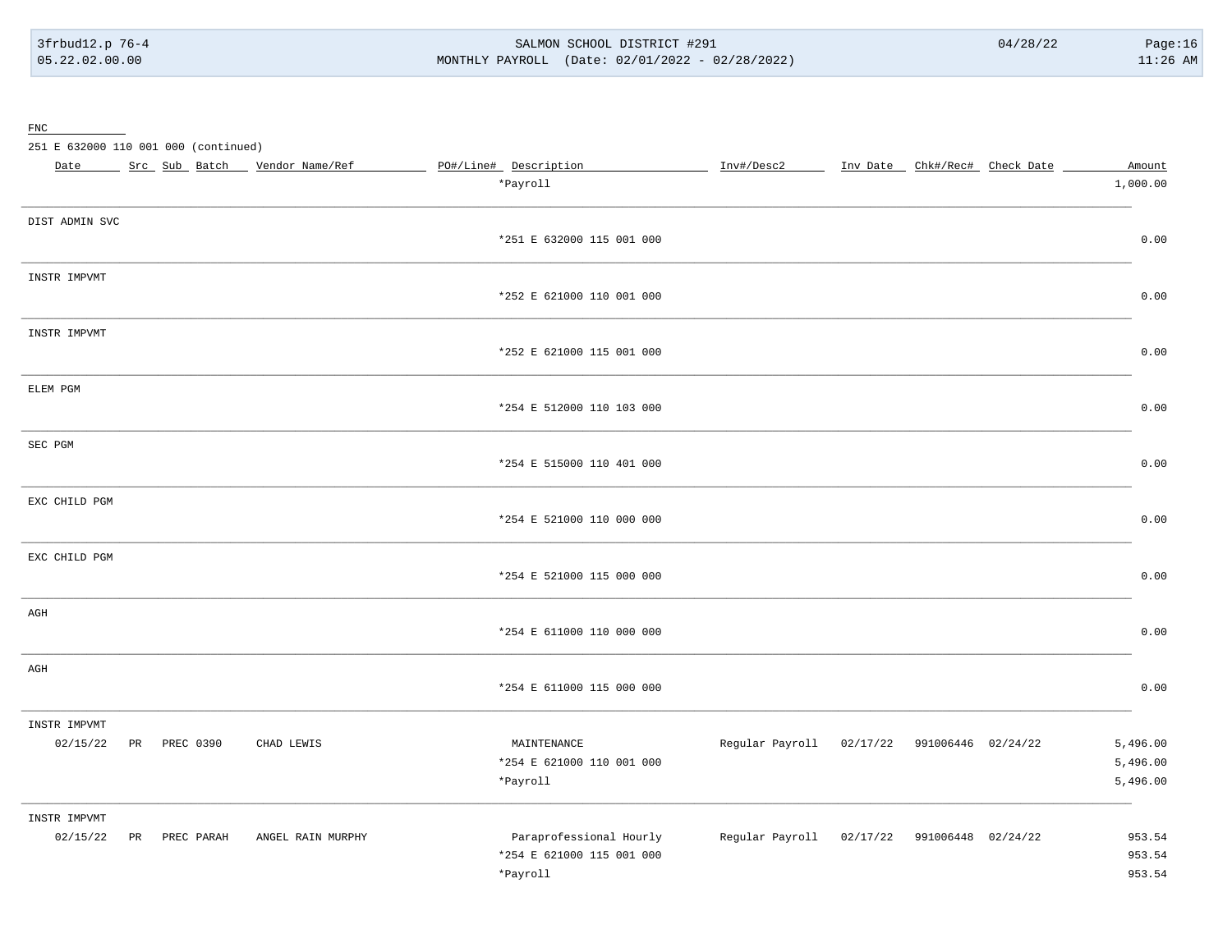$\underline{\text{FNC}}$ 

251 E 632000 110 001 000 (continued)

| Date           |    |              | Src Sub Batch _ Vendor Name/Ref | PO#/Line# Description                    | Inv#/Desc2                                  | Inv Date _ Chk#/Rec# Check Date | Amount               |
|----------------|----|--------------|---------------------------------|------------------------------------------|---------------------------------------------|---------------------------------|----------------------|
|                |    |              |                                 | *Payroll                                 |                                             |                                 | 1,000.00             |
| DIST ADMIN SVC |    |              |                                 |                                          |                                             |                                 |                      |
|                |    |              |                                 | *251 E 632000 115 001 000                |                                             |                                 | 0.00                 |
| INSTR IMPVMT   |    |              |                                 |                                          |                                             |                                 |                      |
|                |    |              |                                 | *252 E 621000 110 001 000                |                                             |                                 | 0.00                 |
| INSTR IMPVMT   |    |              |                                 |                                          |                                             |                                 |                      |
|                |    |              |                                 | *252 E 621000 115 001 000                |                                             |                                 | 0.00                 |
| ELEM PGM       |    |              |                                 |                                          |                                             |                                 |                      |
|                |    |              |                                 | *254 E 512000 110 103 000                |                                             |                                 | 0.00                 |
| SEC PGM        |    |              |                                 |                                          |                                             |                                 |                      |
|                |    |              |                                 | *254 E 515000 110 401 000                |                                             |                                 | 0.00                 |
| EXC CHILD PGM  |    |              |                                 |                                          |                                             |                                 |                      |
|                |    |              |                                 | *254 E 521000 110 000 000                |                                             |                                 | 0.00                 |
| EXC CHILD PGM  |    |              |                                 |                                          |                                             |                                 |                      |
|                |    |              |                                 | *254 E 521000 115 000 000                |                                             |                                 | 0.00                 |
| AGH            |    |              |                                 | *254 E 611000 110 000 000                |                                             |                                 | 0.00                 |
|                |    |              |                                 |                                          |                                             |                                 |                      |
| AGH            |    |              |                                 | *254 E 611000 115 000 000                |                                             |                                 | 0.00                 |
|                |    |              |                                 |                                          |                                             |                                 |                      |
| INSTR IMPVMT   |    |              |                                 |                                          |                                             |                                 |                      |
| 02/15/22       |    | PR PREC 0390 | CHAD LEWIS                      | MAINTENANCE<br>*254 E 621000 110 001 000 | Regular Payroll 02/17/22 991006446 02/24/22 |                                 | 5,496.00<br>5,496.00 |
|                |    |              |                                 | *Payroll                                 |                                             |                                 | 5,496.00             |
| INSTR IMPVMT   |    |              |                                 |                                          |                                             |                                 |                      |
| 02/15/22       | PR | PREC PARAH   | ANGEL RAIN MURPHY               | Paraprofessional Hourly                  | Regular Payroll 02/17/22 991006448 02/24/22 |                                 | 953.54               |
|                |    |              |                                 | *254 E 621000 115 001 000                |                                             |                                 | 953.54               |
|                |    |              |                                 | *Payroll                                 |                                             |                                 | 953.54               |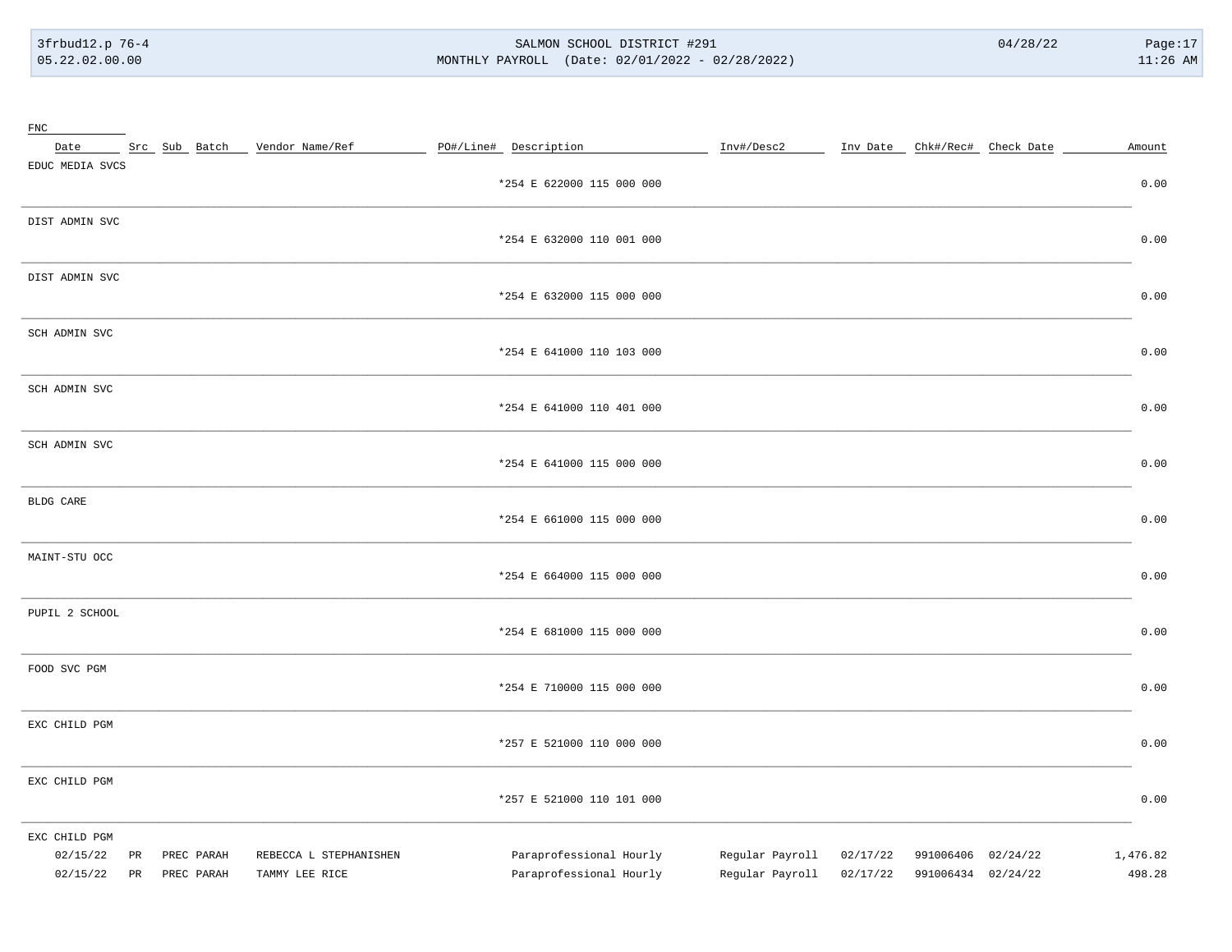#### SALMON SCHOOL DISTRICT #291 MONTHLY PAYROLL (Date: 02/01/2022 - 02/28/2022)

| $_{\rm FNC}$                          |          |                          |                                          |                                                    |                                    |                      |                                          |                    |
|---------------------------------------|----------|--------------------------|------------------------------------------|----------------------------------------------------|------------------------------------|----------------------|------------------------------------------|--------------------|
| Date                                  |          |                          | Src Sub Batch Vendor Name/Ref            | PO#/Line# Description                              | Inv#/Desc2                         |                      | Inv Date Chk#/Rec# Check Date            | Amount             |
| EDUC MEDIA SVCS                       |          |                          |                                          | *254 E 622000 115 000 000                          |                                    |                      |                                          | 0.00               |
| DIST ADMIN SVC                        |          |                          |                                          | *254 E 632000 110 001 000                          |                                    |                      |                                          | 0.00               |
| DIST ADMIN SVC                        |          |                          |                                          | *254 E 632000 115 000 000                          |                                    |                      |                                          | 0.00               |
| SCH ADMIN SVC                         |          |                          |                                          | *254 E 641000 110 103 000                          |                                    |                      |                                          | 0.00               |
| SCH ADMIN SVC                         |          |                          |                                          | *254 E 641000 110 401 000                          |                                    |                      |                                          | 0.00               |
| SCH ADMIN SVC                         |          |                          |                                          | *254 E 641000 115 000 000                          |                                    |                      |                                          | 0.00               |
| BLDG CARE                             |          |                          |                                          | *254 E 661000 115 000 000                          |                                    |                      |                                          | 0.00               |
| MAINT-STU OCC                         |          |                          |                                          | *254 E 664000 115 000 000                          |                                    |                      |                                          | 0.00               |
| PUPIL 2 SCHOOL                        |          |                          |                                          | *254 E 681000 115 000 000                          |                                    |                      |                                          | 0.00               |
| FOOD SVC PGM                          |          |                          |                                          | *254 E 710000 115 000 000                          |                                    |                      |                                          | 0.00               |
| EXC CHILD PGM                         |          |                          |                                          | *257 E 521000 110 000 000                          |                                    |                      |                                          | 0.00               |
| EXC CHILD PGM                         |          |                          |                                          | *257 E 521000 110 101 000                          |                                    |                      |                                          | 0.00               |
| EXC CHILD PGM<br>02/15/22<br>02/15/22 | PR<br>PR | PREC PARAH<br>PREC PARAH | REBECCA L STEPHANISHEN<br>TAMMY LEE RICE | Paraprofessional Hourly<br>Paraprofessional Hourly | Regular Payroll<br>Regular Payroll | 02/17/22<br>02/17/22 | 991006406 02/24/22<br>991006434 02/24/22 | 1,476.82<br>498.28 |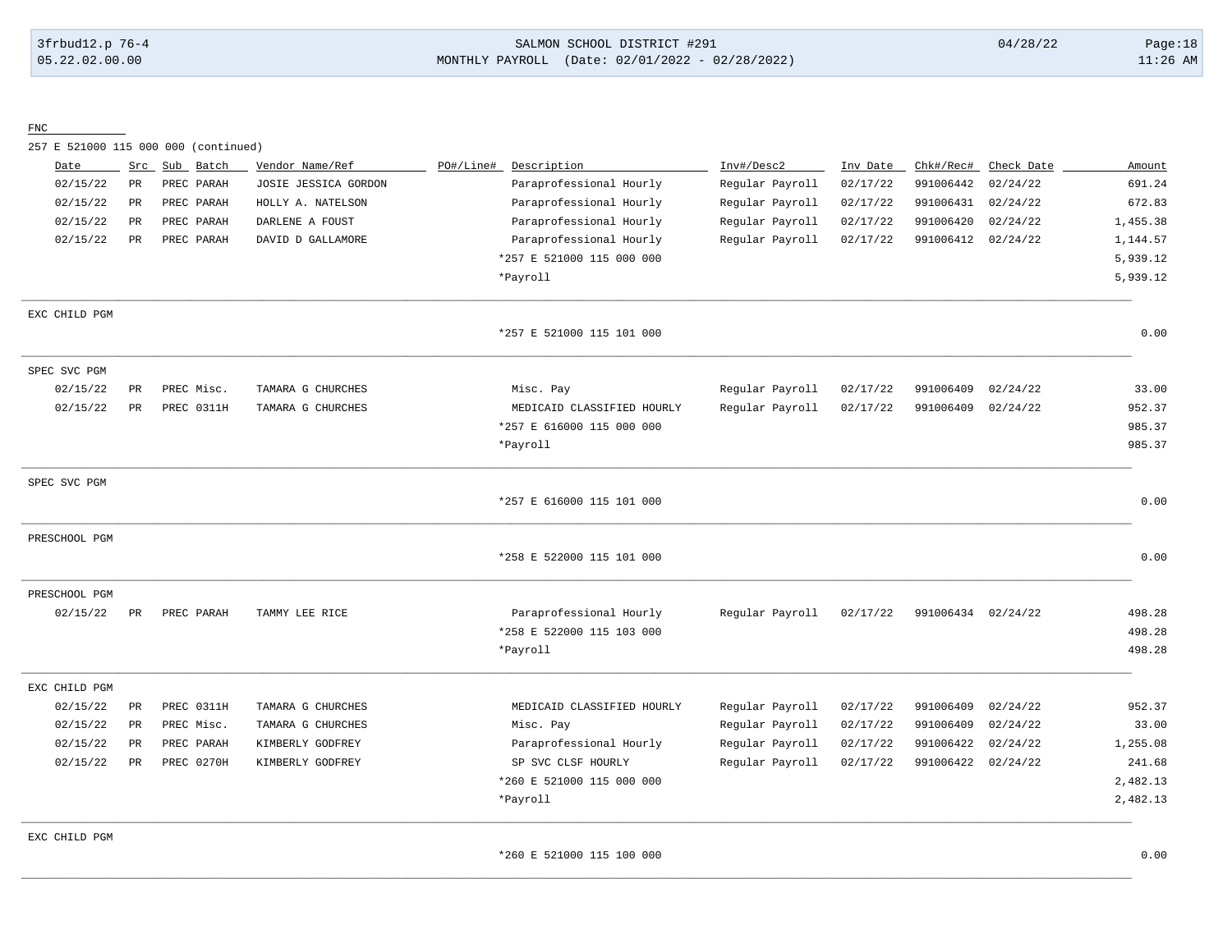3frbud12.p 76-4 SALMON SCHOOL DISTRICT #291 04/28/22 Page:18 05.22.02.00.00 MONTHLY PAYROLL (Date: 02/01/2022 - 02/28/2022) 11:26 AM

FNC

257 E 521000 115 000 000 (continued)

| Date          | Src         | Sub Batch  | Vendor Name/Ref      | PO#/Line#<br>Description   | Inv#/Desc2      | Inv Date | Chk#/Rec#          | Check Date | Amount   |
|---------------|-------------|------------|----------------------|----------------------------|-----------------|----------|--------------------|------------|----------|
| 02/15/22      | $_{\rm PR}$ | PREC PARAH | JOSIE JESSICA GORDON | Paraprofessional Hourly    | Regular Payroll | 02/17/22 | 991006442          | 02/24/22   | 691.24   |
| 02/15/22      | PR          | PREC PARAH | HOLLY A. NATELSON    | Paraprofessional Hourly    | Regular Payroll | 02/17/22 | 991006431          | 02/24/22   | 672.83   |
| 02/15/22      | PR          | PREC PARAH | DARLENE A FOUST      | Paraprofessional Hourly    | Regular Payroll | 02/17/22 | 991006420          | 02/24/22   | 1,455.38 |
| 02/15/22      | PR          | PREC PARAH | DAVID D GALLAMORE    | Paraprofessional Hourly    | Regular Payroll | 02/17/22 | 991006412          | 02/24/22   | 1,144.57 |
|               |             |            |                      | *257 E 521000 115 000 000  |                 |          |                    |            | 5,939.12 |
|               |             |            |                      | *Payroll                   |                 |          |                    |            | 5,939.12 |
| EXC CHILD PGM |             |            |                      |                            |                 |          |                    |            |          |
|               |             |            |                      | *257 E 521000 115 101 000  |                 |          |                    |            | 0.00     |
| SPEC SVC PGM  |             |            |                      |                            |                 |          |                    |            |          |
| 02/15/22      | $_{\rm PR}$ | PREC Misc. | TAMARA G CHURCHES    | Misc. Pay                  | Regular Payroll | 02/17/22 | 991006409          | 02/24/22   | 33.00    |
| 02/15/22      | PR          | PREC 0311H | TAMARA G CHURCHES    | MEDICAID CLASSIFIED HOURLY | Regular Payroll | 02/17/22 | 991006409          | 02/24/22   | 952.37   |
|               |             |            |                      | *257 E 616000 115 000 000  |                 |          |                    |            | 985.37   |
|               |             |            |                      | *Payroll                   |                 |          |                    |            | 985.37   |
| SPEC SVC PGM  |             |            |                      |                            |                 |          |                    |            |          |
|               |             |            |                      | *257 E 616000 115 101 000  |                 |          |                    |            | 0.00     |
| PRESCHOOL PGM |             |            |                      |                            |                 |          |                    |            |          |
|               |             |            |                      | *258 E 522000 115 101 000  |                 |          |                    |            | 0.00     |
| PRESCHOOL PGM |             |            |                      |                            |                 |          |                    |            |          |
| 02/15/22      | PR          | PREC PARAH | TAMMY LEE RICE       | Paraprofessional Hourly    | Regular Payroll | 02/17/22 | 991006434 02/24/22 |            | 498.28   |
|               |             |            |                      | *258 E 522000 115 103 000  |                 |          |                    |            | 498.28   |
|               |             |            |                      | *Payroll                   |                 |          |                    |            | 498.28   |
| EXC CHILD PGM |             |            |                      |                            |                 |          |                    |            |          |
| 02/15/22      | PR          | PREC 0311H | TAMARA G CHURCHES    | MEDICAID CLASSIFIED HOURLY | Regular Payroll | 02/17/22 | 991006409          | 02/24/22   | 952.37   |
| 02/15/22      | PR          | PREC Misc. | TAMARA G CHURCHES    | Misc. Pay                  | Regular Payroll | 02/17/22 | 991006409          | 02/24/22   | 33.00    |
| 02/15/22      | PR          | PREC PARAH | KIMBERLY GODFREY     | Paraprofessional Hourly    | Regular Payroll | 02/17/22 | 991006422          | 02/24/22   | 1,255.08 |
| 02/15/22      | PR          | PREC 0270H | KIMBERLY GODFREY     | SP SVC CLSF HOURLY         | Regular Payroll | 02/17/22 | 991006422          | 02/24/22   | 241.68   |
|               |             |            |                      | *260 E 521000 115 000 000  |                 |          |                    |            | 2,482.13 |
|               |             |            |                      | *Payroll                   |                 |          |                    |            | 2,482.13 |
| EXC CHILD PGM |             |            |                      |                            |                 |          |                    |            |          |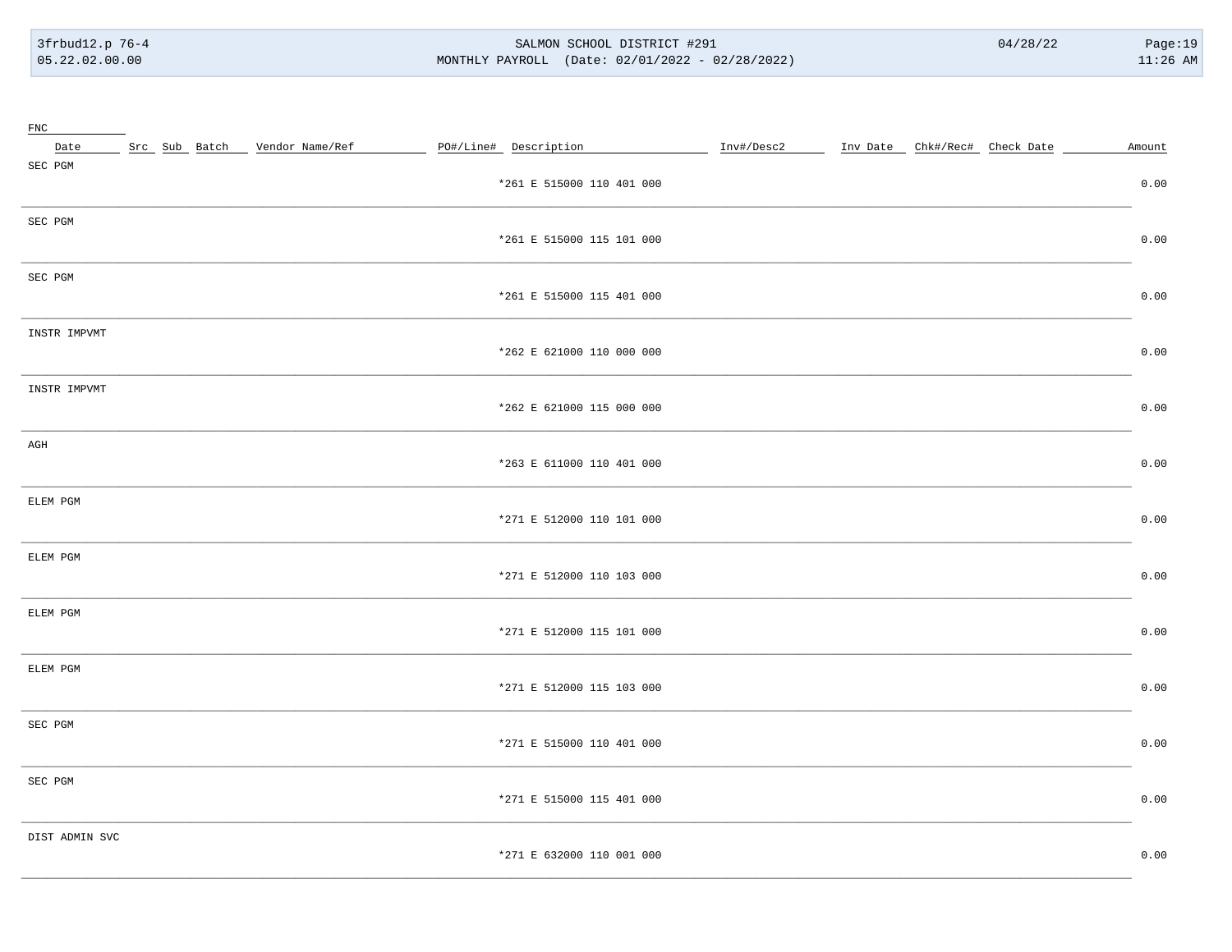#### SALMON SCHOOL DISTRICT #291 MONTHLY PAYROLL (Date: 02/01/2022 - 02/28/2022)

| FNC            |  |                                 |                           |  |  |        |
|----------------|--|---------------------------------|---------------------------|--|--|--------|
| Date           |  | Src Sub Batch _ Vendor Name/Ref | PO#/Line# Description     |  |  | Amount |
| SEC PGM        |  |                                 | *261 E 515000 110 401 000 |  |  | 0.00   |
| SEC PGM        |  |                                 | *261 E 515000 115 101 000 |  |  | 0.00   |
| SEC PGM        |  |                                 | *261 E 515000 115 401 000 |  |  | 0.00   |
| INSTR IMPVMT   |  |                                 | *262 E 621000 110 000 000 |  |  | 0.00   |
| INSTR IMPVMT   |  |                                 | *262 E 621000 115 000 000 |  |  | 0.00   |
| AGH            |  |                                 | *263 E 611000 110 401 000 |  |  | 0.00   |
| ELEM PGM       |  |                                 | *271 E 512000 110 101 000 |  |  | 0.00   |
| ELEM PGM       |  |                                 | *271 E 512000 110 103 000 |  |  | 0.00   |
| ELEM PGM       |  |                                 | *271 E 512000 115 101 000 |  |  | 0.00   |
| ELEM PGM       |  |                                 | *271 E 512000 115 103 000 |  |  | 0.00   |
| SEC PGM        |  |                                 | *271 E 515000 110 401 000 |  |  | 0.00   |
| SEC PGM        |  |                                 | *271 E 515000 115 401 000 |  |  | 0.00   |
| DIST ADMIN SVC |  |                                 | *271 E 632000 110 001 000 |  |  | 0.00   |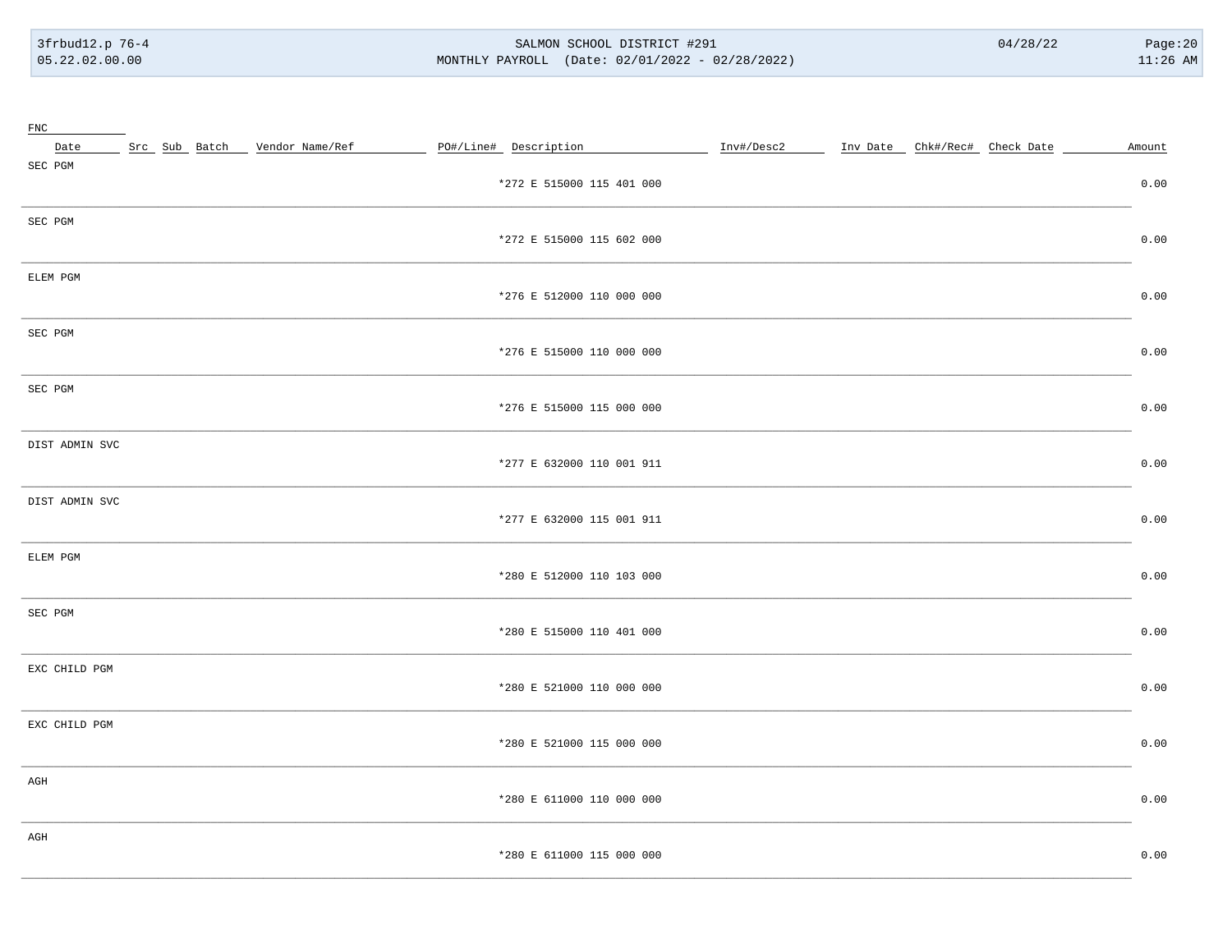#### SALMON SCHOOL DISTRICT #291 MONTHLY PAYROLL (Date: 02/01/2022 - 02/28/2022)

| FNC            |                                 |                           |                                                   |  |        |
|----------------|---------------------------------|---------------------------|---------------------------------------------------|--|--------|
| Date           | Src Sub Batch _ Vendor Name/Ref | PO#/Line# Description     | Inv#/Desc2 ______ Inv Date _ Chk#/Rec# Check Date |  | Amount |
| SEC PGM        |                                 | *272 E 515000 115 401 000 |                                                   |  | 0.00   |
| SEC PGM        |                                 | *272 E 515000 115 602 000 |                                                   |  | 0.00   |
| ELEM PGM       |                                 | *276 E 512000 110 000 000 |                                                   |  | 0.00   |
| SEC PGM        |                                 | *276 E 515000 110 000 000 |                                                   |  | 0.00   |
| SEC PGM        |                                 | *276 E 515000 115 000 000 |                                                   |  | 0.00   |
| DIST ADMIN SVC |                                 | *277 E 632000 110 001 911 |                                                   |  | 0.00   |
| DIST ADMIN SVC |                                 | *277 E 632000 115 001 911 |                                                   |  | 0.00   |
| ELEM PGM       |                                 | *280 E 512000 110 103 000 |                                                   |  | 0.00   |
| SEC PGM        |                                 | *280 E 515000 110 401 000 |                                                   |  | 0.00   |
| EXC CHILD PGM  |                                 | *280 E 521000 110 000 000 |                                                   |  | 0.00   |
| EXC CHILD PGM  |                                 | *280 E 521000 115 000 000 |                                                   |  | 0.00   |
| AGH            |                                 | *280 E 611000 110 000 000 |                                                   |  | 0.00   |
| AGH            |                                 | *280 E 611000 115 000 000 |                                                   |  | 0.00   |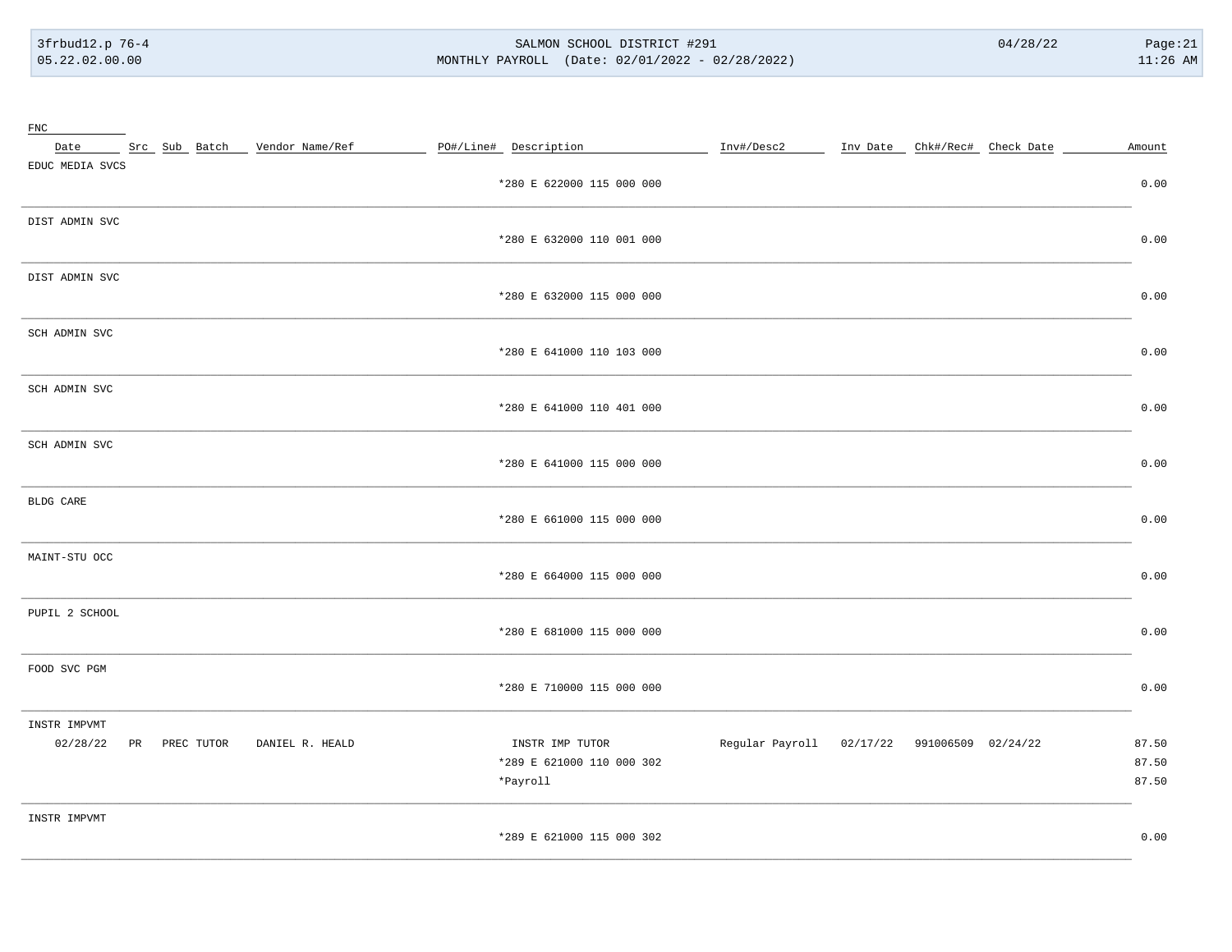$\sim$   $\sim$   $\sim$ 

#### SALMON SCHOOL DISTRICT #291 MONTHLY PAYROLL (Date: 02/01/2022 - 02/28/2022)

| FNC<br>Date ______ Src_ Sub_ Batch ____ Vendor Name/Ref | PO#/Line# Description     | Inv#/Desc2<br>Inv Date Chk#/Rec# Check Date | Amount |
|---------------------------------------------------------|---------------------------|---------------------------------------------|--------|
| EDUC MEDIA SVCS                                         |                           |                                             |        |
|                                                         | *280 E 622000 115 000 000 |                                             | 0.00   |
| DIST ADMIN SVC                                          |                           |                                             |        |
|                                                         | *280 E 632000 110 001 000 |                                             | 0.00   |
| DIST ADMIN SVC                                          |                           |                                             |        |
|                                                         | *280 E 632000 115 000 000 |                                             | 0.00   |
| SCH ADMIN SVC                                           |                           |                                             |        |
|                                                         | *280 E 641000 110 103 000 |                                             | 0.00   |
| SCH ADMIN SVC                                           |                           |                                             |        |
|                                                         | *280 E 641000 110 401 000 |                                             | 0.00   |
| SCH ADMIN SVC                                           |                           |                                             |        |
|                                                         | *280 E 641000 115 000 000 |                                             | 0.00   |
| BLDG CARE                                               |                           |                                             |        |
|                                                         | *280 E 661000 115 000 000 |                                             | 0.00   |
| MAINT-STU OCC                                           |                           |                                             |        |
|                                                         | *280 E 664000 115 000 000 |                                             | 0.00   |
| PUPIL 2 SCHOOL                                          |                           |                                             |        |
|                                                         | *280 E 681000 115 000 000 |                                             | 0.00   |
| FOOD SVC PGM                                            |                           |                                             |        |
|                                                         | *280 E 710000 115 000 000 |                                             | 0.00   |
| INSTR IMPVMT                                            |                           |                                             |        |
| 02/28/22<br>PR PREC TUTOR<br>DANIEL R. HEALD            | INSTR IMP TUTOR           | Regular Payroll 02/17/22 991006509 02/24/22 | 87.50  |
|                                                         | *289 E 621000 110 000 302 |                                             | 87.50  |
|                                                         | *Payroll                  |                                             | 87.50  |
| INSTR IMPVMT                                            |                           |                                             |        |
|                                                         | *289 E 621000 115 000 302 |                                             | 0.00   |